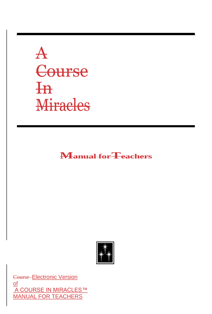# A **Course** In Miracles

## **Manual forTeachers**



Course Electronic Version of A COURSE IN MIRACLES™ MANUAL FOR TEACHERS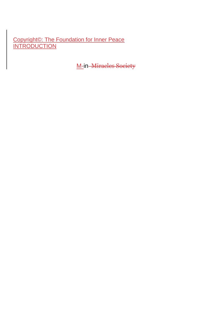Copyright©: The Foundation for Inner Peace **INTRODUCTION** 

M-in-Miracles Society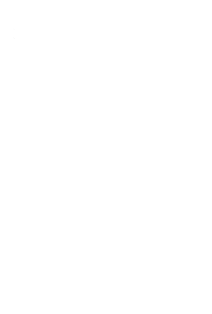$\overline{\phantom{a}}$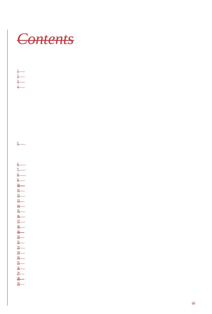| Contanta |  |
|----------|--|
|          |  |

- 1. 2. 3. 4.
- 
- 
- 5.
- 6. 7. 8.
	-
- 11. 12. 13. 14.
- 15. 16.
- 17. 18. 19.
- $\mathfrak{A}% _{0}=\mathfrak{C}_{1}\!\left( a,b\right) ,\mathfrak{C}_{2}\!\left( a,b\right)$ 21.  $\mathbf 2$ 
	-
- 25. 26.
- 27. 28. 29.

9.  $\mathfrak{m}$ 

23. 24.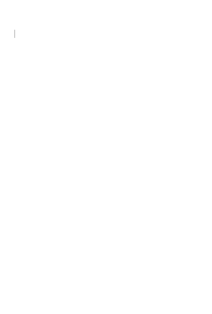$\overline{\phantom{a}}$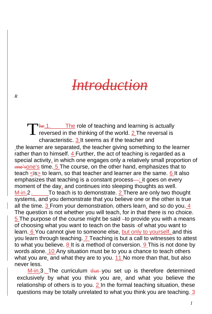## *Introduction*

*R*

The.1. The role of teaching and learning is actually<br>reversed in the thinking of the world. 2 The reversal is reversed in the thinking of the world. 2 The reversal is characteristic. 3 It seems as if the teacher and the learner are separated, the teacher giving something to the learner rather than to himself. 4 Further, the act of teaching is regarded as a special activity, in which one engages only a relatively small proportion of one'sone's time. 5 The course, on the other hand, emphasizes that to teach  $\leq$  to learn, so that teacher and learner are the same. 6 It also emphasizes that teaching is a constant process—; it goes on every moment of the day, and continues into sleeping thoughts as well. M-in.2. To teach is to demonstrate. 2 There are only two thought systems, and you demonstrate that you believe one or the other is true all the time. 3 From your demonstration, others learn, and so do you. 4 The question is not whether you will teach, for in that there is no choice.  $5$  The purpose of the course might be said  $-$ to provide you with a means of choosing what you want to teach on the basis of what you want to learn. 6 You cannot give to someone else, but only to yourself, and this you learn through teaching. 7 Teaching is but a call to witnesses to attest to what you believe.  $8$  It is a method of conversion.  $9$  This is not done by words alone. 10 Any situation must be to you a chance to teach others what you are, and what they are to you.  $11$  No more than that, but also never less.

M-in.3. The curriculum that you set up is therefore determined exclusively by what you think you are, and what you believe the relationship of others is to you. 2 In the formal teaching situation, these questions may be totally unrelated to what you think you are teaching. 3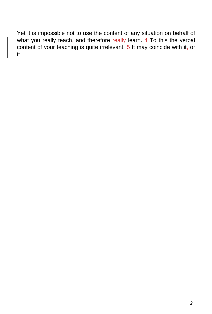Yet it is impossible not to use the content of any situation on behalf of what you really teach, and therefore really learn. 4 To this the verbal content of your teaching is quite irrelevant.  $5$  It may coincide with it, or it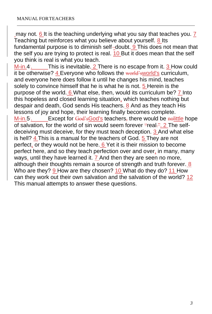may not. 6 It is the teaching underlying what you say that teaches you. 7 Teaching but reinforces what you believe about yourself. 8 Its fundamental purpose is to diminish self--doubt. 9 This does not mean that the self you are trying to protect is real. 10 But it does mean that the self you think is real is what you teach.

M-in.4. This is inevitable. 2 There is no escape from it. 3 How could it be otherwise? 4 Everyone who follows the world'sworld's curriculum, and everyone here does follow it until he changes his mind, teaches solely to convince himself that he is what he is not. 5 Herein is the purpose of the world. 6 What else, then, would its curriculum be? 7 Into this hopeless and closed learning situation, which teaches nothing but despair and death, God sends His teachers. 8 And as they teach His lessons of joy and hope, their learning finally becomes complete. M-in.5. Except for God'sGod's teachers, there would be notative hope of salvation, for the world of sin would seem forever "real.". 2 The selfdeceiving must deceive, for they must teach deception. 3 And what else is hell? 4 This is a manual for the teachers of God. 5 They are not perfect, or they would not be here.  $6$  Yet it is their mission to become perfect here, and so they teach perfection over and over, in many, many ways, until they have learned it. 7 And then they are seen no more, although their thoughts remain a source of strength and truth forever.  $8$ Who are they? 9 How are they chosen? 10 What do they do? 11 How can they work out their own salvation and the salvation of the world? 12 This manual attempts to answer these questions.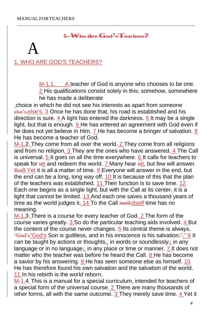## **1. Who are God' <sup>s</sup>Teachers?**

## A 1. WHO ARE GOD'S TEACHERS?

M-1.1. A teacher of God is anyone who chooses to be one. 2 His qualifications consist solely in this; somehow, somewhere he has made a deliberate

choice in which he did not see his interests as apart from someone else's else's. 3 Once he has done that, his road is established and his direction is sure. 4 A light has entered the darkness. 5 It may be a single light, but that is enough. 6 He has entered an agreement with God even if he does not yet believe in Him. 7 He has become a bringer of salvation. 8 He has become a teacher of God.

M-1.2. They come from all over the world. 2 They come from all religions and from no religion. 3 They are the ones who have answered. 4 The Call is universal.  $5$  It goes on all the time everywhere.  $6$  It calls for teachers to speak for  $\frac{1}{1}$ t and redeem the world. 7 Many hear  $\frac{1}{1}$ t, but few will answer. But<sup>8</sup> Yet it is all a matter of time. 9 Everyone will answer in the end, but the end can be a long, long way off. 10 It is because of this that the plan of the teachers was established. 11 Their function is to save time. 12 Each one begins as a single light, but with the Call at its center, it is a light that cannot be limited. 13 And each one saves a thousand years of time as the world judges it. 14 To the Call itself, Itself time has no meaning.

M-1.3. There is a course for every teacher of God. 2 The form of the course varies greatly. 3 So do the particular teaching aids involved. 4 But the content of the course never changes. 5 Its central theme is always, "God's" God's Son is guiltless, and in his innocence is his salvation.<sup>2</sup>." 6 It can be taught by actions or thoughts<sub> $\vec{i}$ </sub>, in words or soundlessly $\vec{i}$ , in any language or in no language, in any place or time or manner. 7 It does not matter who the teacher was before he heard the Call.  $8$  He has become a savior by his answering. 9 He has seen someone else as himself. 10 He has therefore found his own salvation and the salvation of the world. 11 In his rebirth is the world reborn.

M-1.4. This is a manual for a special curriculum, intended for teachers of a special form of the universal course. 2 There are many thousands of other forms, all with the same outcome.  $3$  They merely save time.  $4$  Yet it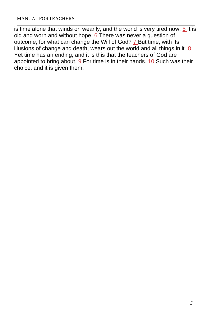is time alone that winds on wearily, and the world is very tired now.  $5$  It is old and worn and without hope. 6 There was never a question of outcome, for what can change the Will of God? 7 But time, with its illusions of change and death, wears out the world and all things in it. 8 Yet time has an ending, and it is this that the teachers of God are appointed to bring about.  $9$  For time is in their hands.  $10$  Such was their choice, and it is given them.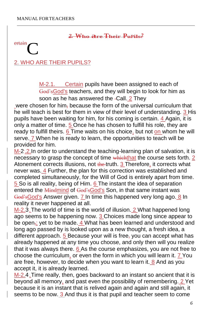ertain

#### *2.* **<sup>W</sup>ho areTheir PuPils***?*

## C 2. WHO ARE THEIR PUPILS?

M-2.1. Certain pupils have been assigned to each of God'sGod's teachers, and they will begin to look for him as soon as he has answered the Call. 2 They

were chosen for him, because the form of the universal curriculum that he will teach is best for them in view of their level of understanding. 3 His pupils have been waiting for him, for his coming is certain. 4 Again, it is only a matter of time. 5 Once he has chosen to fulfill his role, they are ready to fulfill theirs. 6 Time waits on his choice, but not on whom he will serve. 7 When he is ready to learn, the opportunities to teach will be provided for him.

M-2.2.In order to understand the teaching-learning plan of salvation, it is necessary to grasp the concept of time whichthat the course sets forth. 2 Atonement corrects illusions, not the truth. 3 Therefore, it corrects what never was. 4 Further, the plan for this correction was established and completed simultaneously, for the Will of God is entirely apart from time. 5 So is all reality, being of Him. 6 The instant the idea of separation entered the Mindmind of God'sGod's Son, in that same instant was God'sGod's Answer given. 7 In time this happened very long ago. 8 In reality it never happened at all.

M-2.3.The world of time is the world of illusion. 2 What happened long ago seems to be happening now. 3 Choices made long since appear to be open<sub>5</sub>; yet to be made. 4 What has been learned and understood and long ago passed by is looked upon as a new thought, a fresh idea, a different approach. 5 Because your will is free, you can accept what has already happened at any time you choose, and only then will you realize that it was always there. 6 As the course emphasizes, you are not free to choose the curriculum, or even the form in which you will learn it. 7 You are free, however, to decide when you want to learn it. 8 And as you accept it, it is already learned.

M-2.4. Time really, then, goes backward to an instant so ancient that it is beyond all memory, and past even the possibility of remembering. 2 Yet because it is an instant that is relived again and again and still again, it seems to be now. 3 And thus it is that pupil and teacher seem to come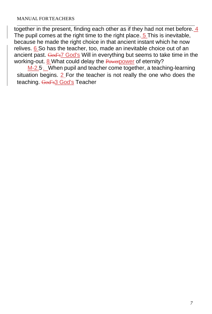together in the present, finding each other as if they had not met before. 4 The pupil comes at the right time to the right place. 5 This is inevitable, because he made the right choice in that ancient instant which he now relives.  $6$  So has the teacher, too, made an inevitable choice out of an ancient past. God's7 God's Will in everything but seems to take time in the working-out. 8 What could delay the Powerpower of eternity?

M-2.5. When pupil and teacher come together, a teaching-learning situation begins. 2 For the teacher is not really the one who does the teaching. God's3 God's Teacher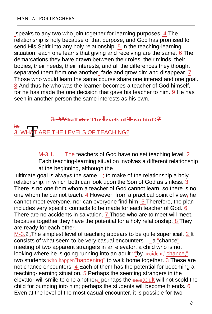he

speaks to any two who join together for learning purposes. 4 The relationship is holy because of that purpose, and God has promised to send His Spirit into any holy relationship. 5 In the teaching-learning situation, each one learns that giving and receiving are the same. 6 The demarcations they have drawn between their roles, their minds, their bodies, their needs, their interests, and all the differences they thought separated them from one another, fade and grow dim and disappear. 7 Those who would learn the same course share one interest and one goal. 8 And thus he who was the learner becomes a teacher of God himself, for he has made the one decision that gave his teacher to him. 9 He has seen in another person the same interests as his own.

#### **3. WhaTareThe levels ofTeachinG?**

## **TAT** 3. WHAT ARE THE LEVELS OF TEACHING?

M-3.1. The teachers of God have no set teaching level. 2 Each teaching-learning situation involves a different relationship at the beginning, although the

ultimate goal is always the same—; to make of the relationship a holy relationship, in which both can look upon the Son of God as sinless. 3 There is no one from whom a teacher of God cannot learn, so there is no one whom he cannot teach. 4 However, from a practical point of view, he cannot meet everyone, nor can everyone find him. 5 Therefore, the plan includes very specific contacts to be made for each teacher of God. 6 There are no accidents in salvation. 7 Those who are to meet will meet, because together they have the potential for a holy relationship. 8 They are ready for each other.

M-3.2. The simplest level of teaching appears to be quite superficial. 2 It consists of what seem to be very casual encounters—; a "chance" meeting of two apparent strangers in an elevator, a child who is not looking where he is going running into an adult "by accident," chance," two students who happen "happening" to walk home together. 3 These are not chance encounters. 4 Each of them has the potential for becoming a teaching-learning situation. 5 Perhaps the seeming strangers in the elevator will smile to one another; perhaps the manadult will not scold the child for bumping into him; perhaps the students will become friends. 6 Even at the level of the most casual encounter, it is possible for two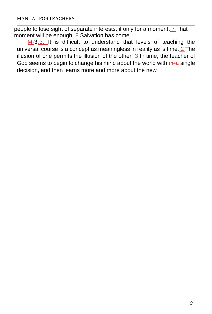MANUAL FORTEACHERS

people to lose sight of separate interests, if only for a moment. 7 That moment will be enough. 8 Salvation has come.

M-3.3. It is difficult to understand that levels of teaching the universal course is a concept as meaningless in reality as is time.  $2$  The illusion of one permits the illusion of the other.  $3$  In time, the teacher of God seems to begin to change his mind about the world with the a single decision, and then learns more and more about the new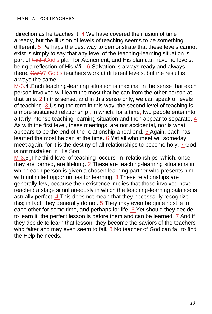direction as he teaches it. 4 We have covered the illusion of time already, but the illusion of levels of teaching seems to be something different. 5 Perhaps the best way to demonstrate that these levels cannot exist is simply to say that any level of the teaching-learning situation is part of God'sGod's plan for Atonement, and His plan can have no levels, being a reflection of His Will. 6 Salvation is always ready and always there. God's7 God's teachers work at different levels, but the result is always the same.

M-3.4. Each teaching-learning situation is maximal in the sense that each person involved will learn the most that he can from the other person at that time. 2 In this sense, and in this sense only, we can speak of levels of teaching.  $3$  Using the term in this way, the second level of teaching is a more sustained relationship-, in which, for a time, two people enter into a fairly intense teaching-learning situation and then appear to separate. 4 As with the first level, these meetings -are not accidental, nor is what appears to be the end of the relationship a real end. 5 Again, each has learned the most he can at the time.  $6$  Yet all who meet will someday meet again, for it is the destiny of all relationships to become holy. 7 God is not mistaken in His Son.

M-3.5. The third level of teaching -occurs -in -relationships -which, once they are formed, are lifelong.  $2$  These are teaching-learning situations in which each person is given a chosen learning partner who presents him with unlimited opportunities for learning. 3 These relationships are generally few, because their existence implies that those involved have reached a stage simultaneously in which the teaching-learning balance is actually perfect. 4 This does not mean that they necessarily recognize this; in fact, they generally do not. 5 They may even be quite hostile to each other for some time, and perhaps for life. 6 Yet should they decide to learn it, the perfect lesson is before them and can be learned. 7 And if they decide to learn that lesson, they become the saviors of the teachers who falter and may even seem to fail. 8 No teacher of God can fail to find the Help he needs.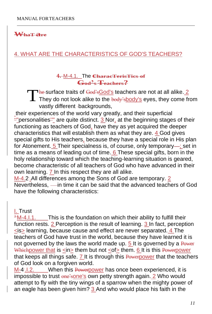#### **WhaT are**

#### 4. WHAT ARE THE CHARACTERISTICS OF GOD'S TEACHERS?

#### **4.** M-4.1. The **characTerisTics of God' <sup>s</sup>Teachers?**

The surface traits of God's God's teachers are not at all alike. 2<br>They do not look alike to the body's body's eyes, they come from The surface traits of God'sGod's teachers are not at all alike. 2 vastly different -backgrounds,

their experiences of the world vary greatly, and their superficial "" personalities" are quite distinct.  $3$  Nor, at the beginning stages of their functioning as teachers of God, have they as yet acquired the deeper characteristics that will establish them as what they are. 4 God gives special gifts to His teachers, because they have a special role in His plan for Atonement. 5 Their specialness is, of course, only temporary—; set in time as a means of leading out of time.  $6$  These special gifts, born in the holy relationship toward which the teaching-learning situation is geared, become characteristic of all teachers of God who have advanced in their own learning. 7 In this respect they are all alike.

M-4.2. All differences among the Sons of God are temporary. 2 Nevertheless, — in time it can be said that the advanced teachers of God have the following characteristics:

#### I. Trust

 $3-M-4.1.1.$  This is the foundation on which their ability to fulfill their function rests. 2 Perception is the result of learning. 3 In fact, perception <is> learning, because cause and effect are never separated. 4 The teachers of God have trust in the world, because they have learned it is not governed by the laws the world made up.  $5$  It is governed by a Power Which power that is  $\langle$ in them but not  $\langle$ of them. 6 It is this Power power that keeps all things safe.  $\overline{7}$  It is through this  $\overline{Powerpower}$  that the teachers of God look on a forgiven world.

M-4.1.2. When this Powerpower has once been experienced, it is impossible to trust one's own petty strength again. 2 Who would attempt to fly with the tiny wings of a sparrow when the mighty power of an eagle has been given him? 3 And who would place his faith in the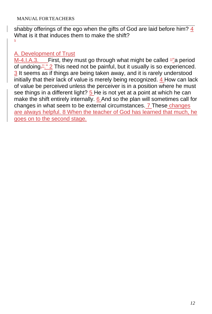shabby offerings of the ego when the gifts of God are laid before him? 4 What is it that induces them to make the shift?  $\overline{5}$ 

#### A. Development of Trust

M-4.I.A.3. First, they must go through what might be called  $\frac{1}{2}$  a period of undoing."." 2 This need not be painful, but it usually is so experienced. 3 It seems as if things are being taken away, and it is rarely understood initially that their lack of value is merely being recognized. 4 How can lack of value be perceived unless the perceiver is in a position where he must see things in a different light? 5 He is not yet at a point at which he can make the shift entirely internally.  $6$  And so the plan will sometimes call for changes in what seem to be external circumstances. 7 These changes are always helpful. 8 When the teacher of God has learned that much, he goes on to the second stage.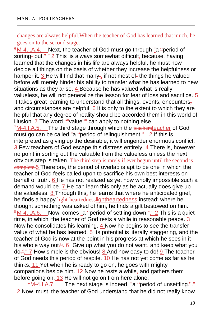#### changes are always helpful.When the teacher of God has learned that much, he goes on to the second stage.

6M-4.I.A.4. Next, the teacher of God must go through "a "period of sorting-out<sup>22</sup>.<sup>"</sup> 2 This -is always somewhat difficult, because, having learned that the changes in his life are always helpful, he must now decide all things on the basis of whether they increase the helpfulness or hamper it.  $3$  He will find that many-, if not most of-the things he valued before will merely hinder his ability to transfer what he has learned to new situations as they arise.  $4$  Because he has valued what is really valueless, he will not generalize the lesson for fear of loss and sacrifice. 5 It takes great learning to understand that all things, events, encounters, and circumstances are helpful.  $6$  It is only to the extent to which they are helpful that any degree of reality should be accorded them in this world of illusion. 7 The word  $\mathfrak{g}$  value<sup>2"</sup> can apply to nothing else.  $7M-4.1.A.\overline{5}$ . The third stage through which the teachersteacher of God must go can be called "a "period of relinquishment.".  $\frac{1}{2}$  If this is interpreted as giving up the desirable, it will engender enormous conflict. 3 Few teachers of God escape this distress entirely. 4 There is, however, no point in sorting out the valuable from the valueless unless the next obvious step is taken. The third step is rarely if ever begun until the second is complete.5 Therefore, the period of overlap is apt to be one in which the teacher of God feels called upon to sacrifice his own best interests on behalf of truth. 6 He has not realized as yet how wholly impossible such a demand would be.  $\overline{7}$  He can learn this only as he actually does give up the valueless.  $8$  Through this, he learns that where he anticipated grief, he finds a happy light-heartednesslightheartedness instead; where he thought something was asked of him, he finds a gift bestowed on him.  $8 \text{ M-4.1.A.6.}$  Now -comes "a "period of settling down.". " 2 This is a quiet time, in which -the teacher of God rests a while in reasonable peace.  $3$ Now he consolidates his learning.  $4$  Now he begins to see the transfer value of what he has learned. 5 Its potential is literally staggering, and the teacher of God is now at the point in his progress at which he sees in it his whole way out.  $6$  "Give up what you do not want, and keep what you  $do.$   $\overline{?}$  7 How simple is the obvious! 8 And how easy to do! 9 The teacher of God needs this period of respite. 10 He has not yet come as far as he thinks. 11 Yet when he is ready to go on, he goes with mighty companions beside him. 12 Now he rests a while, and gathers them before going on. 13 He will not go on from here alone.

 $9\text{M}$ -4.I.A.7. The next stage is indeed  $-$ "a "period of unsettling."." 2 Now -must- the teacher of God understand that he did not really know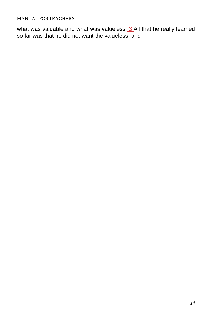MANUAL FORTEACHERS

what was valuable and what was valueless. 3 All that he really learned so far was that he did not want the valueless, and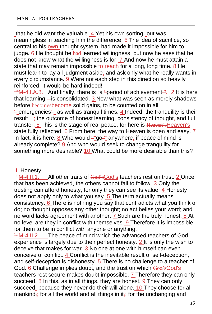that he did want the valuable. 4 Yet his own sorting- out was meaningless in teaching him the difference. 5 The idea of sacrifice, so central to his own thought system, had made it impossible for him to judge. 6 He thought he had learned willingness, but now he sees that he does not know what the willingness is for. 7 And now he must attain a state that may remain impossible to reach for a long, long time. 8 He must learn to lay all judgment aside, and ask only what he really wants in every circumstance. 9 Were not each step in this direction so heavily reinforced, it would be hard indeed!

 $^{10}$ M-4.I.A.8. And finally, there is "a "period of achievement.". " 2 It is here that learning  $-$  is consolidated. 3 Now what was seen as merely shadows before becomesbecome solid gains, to be counted on in all "" emergencies<sup> $2$ "</sup> as well as tranquil times. 4 Indeed, the tranquility is their result—; the outcome of honest learning, consistency of thought, and full transfer. 5 This is the stage of real peace, for here is Heaven's Heaven's state fully reflected. 6 From here, the way to Heaven is open and easy. 7 In fact, it is here. 8 Who would "go" anywhere, if peace of mind is already complete? 9 And who would seek to change tranquility for something more desirable? 10 What could be more desirable than this?

#### II. Honesty

 $H$ M-4.II.1. All other traits of  $God$ <sup>3</sup>sGod's teachers rest on trust. 2 Once that has been achieved, the others cannot fail to follow. 3 Only the trusting can afford honesty, for only they can see its value. 4 Honesty does not apply only to what you say. 5 The term actually means consistency. 6 There is nothing you say that contradicts what you think or do; no thought opposes any other thought; no act belies your word; and no word lacks agreement with another. 7 Such are the truly honest. 8 At no level are they in conflict with themselves. 9 Therefore it is impossible for them to be in conflict with anyone or anything.

 $12$ M-4.II.2. The peace of mind which the advanced teachers of God experience is largely due to their perfect honesty. 2 It is only the wish to deceive that makes for war. 3 No one at one with himself can even conceive of conflict. 4 Conflict is the inevitable result of self-deception, and self-deception is dishonesty. 5 There is no challenge to a teacher of God. 6 Challenge implies doubt, and the trust on which God'sGod's teachers rest secure makes doubt impossible. 7 Therefore they can only succeed. 8 In this, as in all things, they are honest. **9** They can only succeed, because they never do their will alone. 10 They choose for all mankind<sub> $\overline{5}$ </sub>; for all the world and all things in it $\overline{5}$ ; for the unchanging and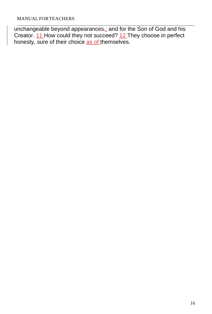MANUAL FORTEACHERS

unchangeable beyond appearances<sub></sub>, and for the Son of God and his Creator. 11 How could they not succeed? 12 They choose in perfect honesty, sure of their choice as of themselves.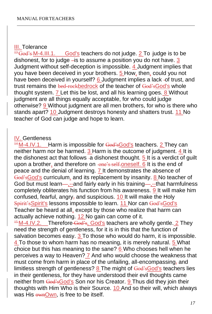#### III. Tolerance

 $^{13}$  God's M-4.III.1. God's teachers do not judge.  $2$  To -judge is to be dishonest, for to judge  $-i$ s to assume a position you do not have.  $3$ Judgment without self-deception is impossible. 4 Judgment implies that you have been deceived in your brothers. 5 How, then, could you not have been deceived in yourself? 6 Judgment implies a lack -of trust, and trust remains the bed-rockbedrock of the teacher of God'sGod's whole thought system. 7 Let this be lost, and all his learning goes. 8 Without judgment are all things equally acceptable, for who could judge otherwise? 9 Without judgment are all men brothers, for who is there who stands apart? 10 Judgment destroys honesty and shatters trust. 11 No teacher of God can judge and hope to learn.

#### IV. Gentleness

 $\frac{14 \text{W}}{14 \text{W}}$ -4.IV.1. Harm is impossible for  $\frac{\text{God's} }{\text{Sod's}}$  teachers. 2 They can neither harm nor be harmed. 3 Harm is the outcome of judgment. 4 It is the dishonest act that follows -a dishonest thought.  $5$  It is a verdict of guilt upon a brother, and therefore on one's self-oneself. 6 It is the end of peace and the denial of learning. 7 It demonstrates the absence of God'sGod's curriculum, and its replacement by insanity. 8 No teacher of God but must learn—,--and fairly early in his training—,--that harmfulness completely obliterates his function from his awareness. 9 It will make him confused, fearful, angry, and suspicious. 10 It will make the Holy Spirit'sSpirit's lessons impossible to learn. 11 Nor can God'sGod's Teacher be heard at all, except by those who realize that harm can actually achieve nothing. 12 No gain can come of it.  $^{45}$ M-4.IV.2. Therefore God's, God's teachers are wholly gentle. 2 They need the strength of gentleness, for it is in this that the function of salvation becomes easy.  $3$  To those who would do harm, it is impossible. 4 To those to whom harm has no meaning, it is merely natural. 5 What choice but this has meaning to the sane?  $6$  Who chooses hell when he perceives a way to Heaven? 7 And who would choose the weakness that must come from harm in place of the unfailing, all-encompassing, and limitless strength of gentleness? 8 The might of God'sGod's teachers lies in their gentleness, for they have understood their evil thoughts came neither from God'sGod's Son nor his Creator. 9 Thus did they join their thoughts with Him Who is their Source. 10 And so their will, which always was His  $\overline{\text{ewnO}}$ wn, is free to be itself.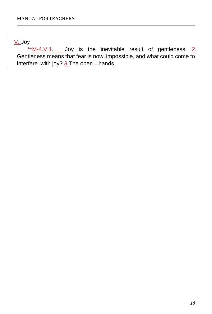#### V. Joy

 $\frac{16 \text{ M} - 4 \text{ V} \cdot 1}{2}$  Joy is the inevitable result of gentleness. 2 Gentleness means that fear is now impossible, and what could come to interfere -with joy?  $3$  The open - hands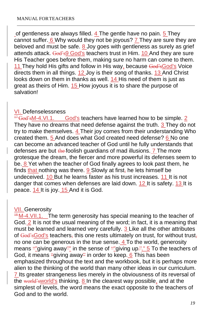of gentleness are always filled.  $4$  The gentle have no pain.  $5$  They cannot suffer.  $6$  Why would they not be joyous?  $7$  They are sure they are beloved and must be safe. 8 Joy goes with gentleness as surely as grief attends attack. God's<sup>9</sup> God's teachers trust in Him. 10 And they are sure His Teacher goes before them, making sure no harm can come to them. 11 They hold His gifts and follow in His way, because God'sGod's Voice directs them in all things. 12 Joy is their song of thanks. 13 And Christ looks down on them in thanks as well. 14 His need of them is just as great as theirs of Him.  $15$  How joyous it is to share the purpose of salvation!

#### VI. Defenselessness

 $\frac{17}{17}$ God'sM-4.VI.1. God's teachers have learned how to be simple. 2 They have no dreams that need defense against the truth. 3 They do not try to make themselves. 4 Their joy comes from their understanding Who created them. 5 And does what God created need defense? 6 No one can become an advanced teacher of God until he fully understands that defenses are but the foolish guardians of mad illusions. 7 The more grotesque the dream, the fiercer and more powerful its defenses seem to be. 8 Yet when the teacher of God finally agrees to look past them, he finds that nothing was there.  $9$  Slowly at first, he lets himself be undeceived. 10 But he learns faster as his trust increases. 11 It is not danger that comes when defenses are laid down. 12 It is safety. 13 It is peace. 14 It is joy. 15 And it is God.

#### VII. Generosity

<sup>18</sup>M-4. VII.1. The term generosity has special meaning to the teacher of God. 2 It is not the usual meaning of the word; in fact, it is a meaning that must be learned and learned very carefully. 3 Like all the other attributes of God'sGod's teachers, this one rests ultimately on trust, for without trust, no one can be generous in the true sense. 4 To the world, generosity means "giving away" in the sense of "giving up.". 5 To the teachers of God, it means "giving away" in order to keep.  $6$  This has been emphasized throughout the text and the workbook, but it is perhaps more alien to the thinking of the world than many other ideas in our curriculum. 7 Its greater strangeness lies merely in the obviousness of its reversal of the world'sworld's thinking. 8 In the clearest way possible, and at the simplest of levels, the word means the exact opposite to the teachers of God and to the world.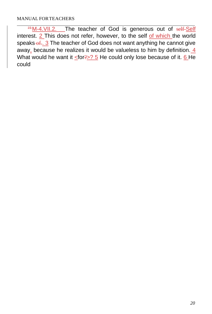#### MANUAL FORTEACHERS

<sup>19</sup>M-4. VII.2. The teacher of God is generous out of self-Self interest. 2 This does not refer, however, to the self of which the world speaks of.. 3 The teacher of God does not want anything he cannot give away, because he realizes it would be valueless to him by definition.  $\frac{4}{3}$ What would he want it  $\leq$  for $\frac{2}{5}$  He could only lose because of it. 6 He could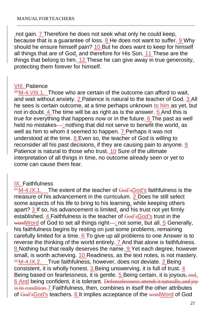not gain. 7 Therefore he does not seek what only he could keep, because that is a guarantee of loss.  $8$  He does not want to suffer.  $9$  Why should he ensure himself pain? 10 But he does want to keep for himself all things that are of God, and therefore for His Son. 11 These are the things that belong to him. 12 These he can give away in true generosity, protecting them forever for himself.

#### VIII. Patience

 $20 - 4.1$ VIII.1. Those who are certain of the outcome can afford to wait, and wait without anxiety. 2 Patience is natural to the teacher of God. 3 All he sees is certain outcome, at a time perhaps unknown to him as yet, but not in doubt. 4 The time will be as right as is the answer. 5 And this is true for everything that happens now or in the future. 6 The past as well held no mistakes—; nothing that did not serve to benefit the world, as well as him to whom it seemed to happen. 7 Perhaps it was not understood at the time. 8 Even so, the teacher of God is willing to reconsider all his past decisions, if they are causing pain to anyone. 9 Patience is natural to those who trust. 10 Sure of the ultimate interpretation of all things in time, no outcome already seen or yet to come can cause them fear.

#### IX. Faithfulness

 $^{24}$ M-4.IX.1. The extent of the teacher of  $6$   $6$   $6d$ <sup>2</sup>  $s$  God's faithfulness is the measure of his advancement in the curriculum. 2 Does he still select some aspects of his life to bring to his learning, while keeping others apart? 3 If so, his advancement is limited, and his trust not yet firmly established. 4 Faithfulness is the teacher of God'sGod's trust in the wordWord of God to set all things right—; not some, but all. 5 Generally, his faithfulness begins by resting on just some problems, remaining carefully limited for a time. 6 To give up all problems to one Answer is to reverse the thinking of the world entirely. 7 And that alone is faithfulness. 8 Nothing but that really deserves the name. 9 Yet each degree, however small, is worth achieving. 10 Readiness, as the text notes, is not mastery.  $22$ M-4.IX.2. True faithfulness, however, does not deviate. 2 Being consistent, it is wholly honest. 3 Being unswerving, it is full of trust. 4 Being based on fearlessness, it is gentle. 5 Being certain, it is joyous, and. 6 And being confident, it is tolerant. Defenselessness attendsit naturally,and joy is its condition. 7 Faithfulness, then, combines in itself the other attributes of God'sGod's teachers. 8 It implies acceptance of the wordWord of God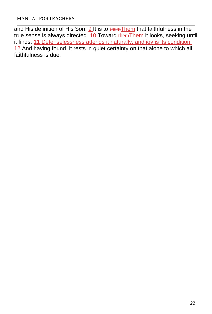MANUAL FORTEACHERS

and His definition of His Son. 9 It is to them Them that faithfulness in the true sense is always directed. 10 Toward them Them it looks, seeking until it finds. 11 Defenselessness attends it naturally, and joy is its condition. 12 And having found, it rests in quiet certainty on that alone to which all faithfulness is due.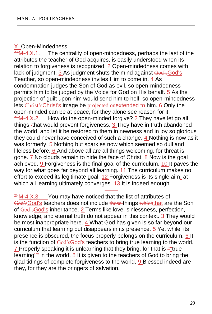#### X. Open-Mindedness

 $\frac{23 \text{ M}}{4 \cdot 4 \cdot 1}$ . The centrality of open-mindedness, perhaps the last of the attributes the teacher of God acquires, is easily understood when its relation to forgiveness is recognized. 2 Open-mindedness comes with lack of judgment. 3 As judgment shuts the mind against God's God's Teacher, so open-mindedness invites Him to come in. 4 As condemnation judges the Son of God as evil, so open-mindedness permits him to be judged by the Voice for God on His behalf. 5 As the projection of guilt upon him would send him to hell, so open-mindedness lets Christ's Christ's image be projected onextended to him. 6 Only the open-minded can be at peace, for they alone see reason for it.  $24$ M-4.X.2. How do the open-minded forgive? 2 They have let go all things -that would prevent forgiveness. 3 They have in truth abandoned the world, and let it be restored to them in newness and in joy so glorious they could never have conceived of such a change.  $4$  Nothing is now as it was formerly. 5 Nothing but sparkles now which seemed so dull and lifeless before. 6 And above all are all things welcoming, for threat is gone. 7 No clouds remain to hide the face of Christ. 8 Now is the goal achieved. 9 Forgiveness is the final goal of the curriculum. 10 It paves the way for what goes far beyond all learning. 11 The curriculum makes no effort to exceed its legitimate goal. 12 Forgiveness is its single aim, at which all learning ultimately converges. 13 It is indeed enough.

 $25 M-4.X.3.$  You may have noticed that the list of attributes of God'sGod's teachers does not include those things which that are the Son of God'sGod's inheritance. 2 Terms like love, sinlessness, perfection, knowledge, and eternal truth do not appear in this context. 3 They would be most inappropriate here. 4 What God has given is so far beyond our curriculum that learning but disappears in its presence. 5 Yet while -its presence is obscured, the focus properly belongs on the curriculum. 6 It is the function of God'sGod's teachers to bring true learning to the world.  $\overline{7}$  Properly speaking it is unlearning that they bring, for that is  $\frac{100}{100}$  true learning<sup>2"</sup> in the world. 8 It is given to the teachers of God to bring the glad tidings of complete forgiveness to the world. 9 Blessed indeed are they, for they are the bringers of salvation.

*——*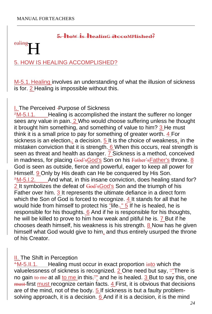#### **5. hoW i<sup>s</sup> healinG accoMPlished?**

## ealing H

#### 5. HOW IS HEALING ACCOMPLISHED?

M-5.1. Healing involves an understanding of what the illusion of sickness is for. 2 Healing is impossible without this.

#### **I.** The Perceived - Purpose of Sickness

 $2^2M-5.1.1$ . Healing is accomplished the instant the sufferer no longer sees any value in pain. 2 Who would choose suffering unless he thought it brought him something, and something of value to him? 3 He must think it is a small price to pay for something of greater worth. 4 For sickness is an election<sub> $\vec{a}$ </sub> a decision. 5 It is the choice of weakness, in the mistaken conviction that it is strength.  $6$  When this occurs, real strength is seen as threat and health as danger. 7 Sickness is a method, conceived in madness, for placing God'sGod's Son on his Father's Father's throne. 8 God is seen as outside, fierce and powerful, eager to keep all power for Himself. 9 Only by His death can He be conquered by His Son.  $3\text{M}$ -5.I.2. And what, in this insane conviction, does healing stand for? 2 It symbolizes the defeat of God'sGod's Son and the triumph of his Father over him. 3 It represents the ultimate defiance in a direct form which the Son of God is forced to recognize.  $4$  It stands for all that he would hide from himself to protect his  $\frac{1}{2}$ life..." 5 If he is healed, he is responsible for his thoughts.  $6$  And if he is responsible for his thoughts, he will be killed to prove to him how weak and pitiful he is. 7 But if he chooses death himself, his weakness is his strength. 8 Now has he given himself what God would give to him, and thus entirely usurped the throne of his Creator.

#### **II.** The Shift in Perception

 $4M-5.11.1.$  Healing must occur in exact proportion  $\frac{1}{110}$  which the valuelessness of sickness is recognized. 2 One need but say, "There is no gain to me at all to me in this, $\frac{m}{n}$  and he is healed.  $\frac{3}{3}$  But to say this, one **must-first must recognize certain facts. 4 First, it is obvious that decisions** are of the mind, not of the body. 5 If sickness is but a faulty problemsolving approach, it is a decision.  $6$  And if it is a decision, it is the mind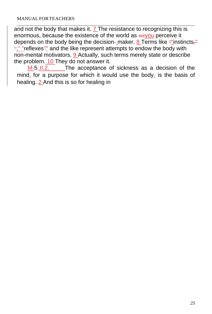and not the body that makes it. 7 The resistance to recognizing this is enormous, because the existence of the world as weyou perceive it depends on the body being the decision- maker.  $8$  Terms like "instincts," "," "reflexes<sup>2"</sup> and the like represent attempts to endow the body with non-mental motivators. 9 Actually, such terms merely state or describe the problem. 10 They do not answer it.

M-5.II.2. The acceptance of sickness as a decision of the mind, for a purpose for which it would use the body, is the basis of healing. 2 And this is so for healing in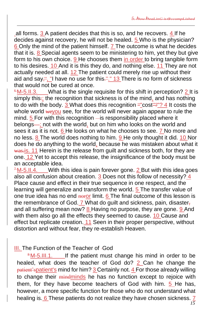all forms. 3 A patient decides that this is so, and he recovers. 4 If he decides against recovery, he will not be healed. 5 Who is the physician? 6 Only the mind of the patient himself. 7 The outcome is what he decides that it is.  $8$  Special agents seem to be ministering to him, yet they but give form to his own choice. 9 He chooses them in order to bring tangible form to his desires. 10 And it is this they do, and nothing else. 11 They are not actually needed at all. 12 The patient could merely rise up without their aid and say, "I have no use for this."." 13 There is no form of sickness that would not be cured at once.

 $6\text{M}$ -5.II.3. What is the single requisite for this shift in perception? 2 It is simply this:; the recognition that sickness is of the mind, and has nothing to do with the body. 3 What does this recognition  $\frac{u}{x}$  cost<sup>22</sup>?<sup>"</sup>? 4 It costs the whole world weyou see, for the world will never again appear to rule the mind.  $5$  For with this recognition  $-$  is responsibility placed where it belongs—; not with the world, but on him who looks on the world and sees it as it is not. 6 He looks on what he chooses to see. 7 No more and no less. 8 The world does nothing to him. 9 He only thought it did. 10 Nor does he do anything to the world, because he was mistaken about what it was. is. 11 Herein is the release from quilt and sickness both, for they are one. 12 Yet to accept this release, the insignificance of the body must be an acceptable idea.

 $7\text{M}$ -5.II.4. With this idea is pain forever gone. 2 But with this idea goes also all confusion about creation. 3 Does not this follow of necessity? 4 Place cause and effect in their true sequence in one respect, and the learning will generalize and transform the world. 5 The transfer value of one true idea has no end  $\frac{1}{100}$  heror limit. 6 The final outcome of this lesson is the remembrance of God. 7 What do guilt and sickness, pain, disaster, and all suffering mean now? 8 Having no purpose, they are gone. 9 And with them also go all the effects they seemed to cause. 10 Cause and effect but replicate creation. 11 Seen in their proper perspective, without distortion and without fear, they re-establish Heaven.

#### **III.** The Function of the Teacher of -God

 $-M-5.$ III.1. If the patient must change his mind in order to be healed, what does the teacher of God do? 2 Can he change the patient'spatient's mind for him? 3 Certainly not. 4 For those already willing to change their mindminds he has no function except to rejoice with them, for they have become teachers of God with him. 5 He has, however, a more specific function for those who do not understand what healing is. 6 These patients do not realize they have chosen sickness. 7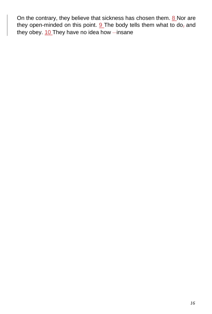On the contrary, they believe that sickness has chosen them. Nor are they open-minded on this point. The body tells them what to do, and they obey. They have no idea how  $-$ insane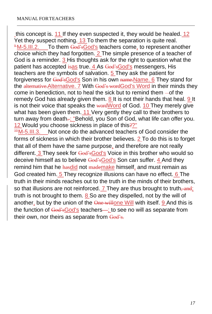this concept is. 11 If they even suspected it, they would be healed. 12 Yet they suspect nothing. 13 To them the separation is quite real.  $9\text{M}-5.111.2.$  To them  $\text{God's}$ God's teachers come, to represent another choice which they had forgotten.  $2$  The simple presence of a teacher of God is a reminder. 3 His thoughts ask for the right to question what the patient has accepted isas true. 4 As God'sGod's messengers, His teachers are the symbols of salvation. 5 They ask the patient for forgiveness for God'sGod's Son in his own name.Name. 6 They stand for the alternative. Alternative. 7 With God's wordGod's Word in their minds they come in benediction, not to heal the sick but to remind them  $-$ of the remedy God has already given them.  $8$  It is not their hands that heal.  $9$  It is not their voice that speaks the wordWord of God. 10 They merely give what has been given them. 11 Very gently they call to their brothers to turn away from death-: "Behold, you Son of God, what life can offer you. 12 Would you choose sickness in place of this??" <sup>10</sup>M-5.III.3. Not once do the advanced teachers of God consider the forms of sickness in which their brother believes. 2 To do this is to forget that all of them have the same purpose, and therefore are not really different. 3 They seek for God'sGod's Voice in this brother who would so deceive himself as to believe God'sGod's Son can suffer. 4 And they remind him that he **hasdid** not mademake himself, and must remain as God created him. 5 They recognize illusions can have no effect. 6 The truth in their minds reaches out to the truth in the minds of their brothers, so that illusions are not reinforced.  $7$  They are thus brought to truth, and; truth is not brought to them. 8 So are they dispelled, not by the will of another, but by the union of the One willone Will with itself. 9 And this is the function of God'sGod's teachers—; to see no will as separate from their own, nor theirs as separate from God's.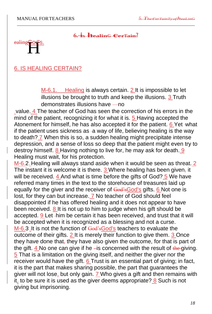#### **6. i<sup>s</sup> healinG cerTain?**



#### 6. IS HEALING CERTAIN?

M-6.1. Healing is always certain. 2 It is impossible to let illusions be brought to truth and keep the illusions. 3 Truth demonstrates illusions have - no

value. 4 The teacher of God has seen the correction of his errors in the mind of the patient, recognizing it for what it is. 5 Having accepted the Atonement for himself, he has also accepted it for the patient. 6 Yet -what if the patient uses sickness as -a way of life, believing healing is the way to death? 7 When this is so, a sudden healing might precipitate intense depression, and a sense of loss so deep that the patient might even try to destroy himself. 8 Having nothing to live for, he may ask for death. 9 Healing must wait, for his protection.

M-6.2. Healing will always stand aside when it would be seen as threat. 2 The instant it is welcome it is there.  $3$  Where healing has been given, it will be received. 4 And what is time before the gifts of God? 5 We have referred many times in the text to the storehouse of treasures laid up equally for the giver and the receiver of God'sGod's gifts. 6 Not one is lost, for they can but increase. 7 No teacher of God should feel disappointed if he has offered healing and it does not appear to have been received. 8 It is not up to him to judge when his gift should be accepted. 9 Let him be certain it has been received, and trust that it will be accepted when it is recognized as a blessing and not a curse. M-6.3. It is not the function of God'sGod's teachers to evaluate the outcome of their gifts. 2 It is merely their function to give them. 3 Once they have done that, they have also given the outcome, for that is part of the gift. 4 No one can give if he  $-i$ s concerned with the result of the giving. 5 That is a limitation on the giving itself, and neither the giver nor the receiver would have the gift.  $6$  Trust is an essential part of giving; in fact, it is the part that makes sharing possible, the part that guarantees the giver will not lose, but only gain. 7 Who gives a gift and then remains with it, to be sure it is used as the giver deems appropriate?  $8$  Such is not giving but imprisoning.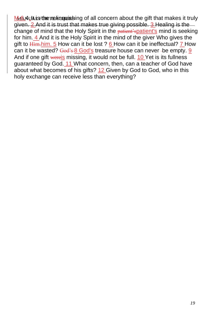MAC Autrist the relinquishing of all concern about the gift that makes it truly given. 2 And it is trust that makes true giving possible. 3 Healing is the change of mind that the Holy Spirit in the patient's patient's mind is seeking for him. 4 And it is the Holy Spirit in the mind of the giver Who gives the gift to  $\overline{\text{Him}}$ -him. 5 How can it be lost ? 6 How can it be ineffectual? 7 How can it be wasted? God's 8 God's treasure house can never -be empty. 9 And if one gift wereis missing, it would not be full. 10 Yet is its fullness guaranteed by God. 11 What concern, then, can a teacher of God have about what becomes of his gifts? 12 Given by God to God, who in this holy exchange can receive less than everything?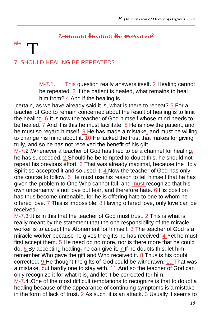#### *7.* **should healinG <sup>B</sup><sup>e</sup> rePeaTed***?*

## T his

#### 7. SHOULD HEALING BE REPEATED?

M-7.1. This question really answers itself. 2 Healing cannot be repeated. 3 If the patient is healed, what remains to heal him from? 4 And if the healing is

certain, as we have already said it is, what is there to repeat? 5 For a teacher of God to remain concerned about the result of healing is to limit the healing. 6 It is now the teacher of God himself whose mind needs to be healed.  $\overline{7}$  And it is this he must facilitate.  $\overline{8}$  He is now the patient, and he must so regard himself. 9 He has made a mistake, and must be willing to change his mind about it. 10 He lacked the trust that makes for giving truly, and so he has not received the benefit of his gift.

 $M-7.2$ . Whenever a teacher of God has tried to be a channel for healing, he has succeeded. 2 Should he be tempted to doubt this, he should not repeat his previous effort.  $3$  That was already maximal, because the Holy Spirit so accepted it and so used it. 4 Now the teacher of God has only one course to follow. 5 He must use his reason to tell himself that he has given the problem to One Who cannot fail, and must recognize that his own uncertainty is not love but fear, and therefore hate. 6 His position has thus become untenable, for he is offering hate to one to whom he offered love. 7 This is impossible. 8 Having offered love, only love can be received.

M-7.3. It is in this that the teacher of God must trust. 2 This is what is really meant by the statement that the one responsibility of the miracle worker is to accept the Atonement for himself. 3 The teacher of God is a miracle worker because he gives the gifts he has received. 4 Yet he must first accept them. 5 He need do no more, nor is there more that he could do. 6 By accepting healing, he can give it.  $7$  If he doubts this, let him remember Who gave the gift and Who received it. 8 Thus is his doubt corrected. 9 He thought the gifts of God could be withdrawn. 10 That was a mistake, but hardly one to stay with. 11 And so the teacher of God can only recognize it for what it is, and let it be corrected for him.

M-7.4. One of the most difficult temptations to recognize is that to doubt a healing because of the appearance of continuing symptoms is a mistake in the form of lack of trust.  $2$  As such, it is an attack.  $3$  Usually it seems to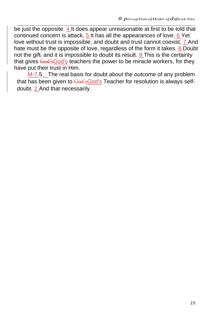be just the opposite. 4 It does appear unreasonable at first to be told that continued concern is attack.  $5$  It has all the appearances of love. 6 Yet love without trust is impossible, and doubt and trust cannot coexist. 7 And hate must be the opposite of love, regardless of the form it takes. 8 Doubt not the gift, and it is impossible to doubt its result.  $9$  This is the certainty that gives God'sGod's teachers the power to be miracle workers, for they have put their trust in Him.

M-7.5. The real basis for doubt about the outcome of any problem that has been given to God'sGod's Teacher for resolution is always selfdoubt. 2 And that necessarily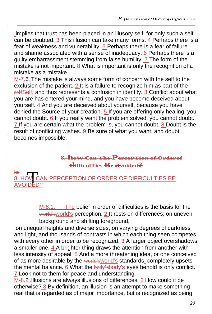implies that trust has been placed in an illusory self, for only such a self can be doubted. 3 This illusion can take many forms. 4 Perhaps there is a fear of weakness and vulnerability. 5 Perhaps there is a fear of failure and shame associated with a sense of inadequacy. 6 Perhaps there is a guilty embarrassment stemming from false humility. 7 The form of the mistake is not important. 8 What is important is only the recognition of a mistake as a mistake.

M-7.6. The mistake is always some form of concern with the self to the exclusion of the patient. 2 It is a failure to recognize him as part of the selfSelf, and thus represents a confusion in identity. 3 Conflict about what you are has entered your mind, and you have become deceived about yourself. 4 And you are deceived about yourself, because you have denied the Source of your creation.  $5$  If you are offering only healing, you cannot doubt. 6 If you really want the problem solved, you cannot doubt.  $\overline{7}$  If you are certain what the problem is, you cannot doubt. 8 Doubt is the result of conflicting wishes. 9 Be sure of what you want, and doubt becomes impossible.

#### **8. hoW can The PercePTion of orderof difficulTies Be avoided?**

<del>he</del><br>8. HOW CA<br>AVOIDED? he CAN PERCEPTION OF ORDER OF DIFFICULTIES BE

> M-8.1. The belief in order of difficulties is the basis for the world'sworld's perception. 2 It rests on differences; on uneven background and shifting foreground,

on unequal heights and diverse sizes, on varying degrees of darkness and light, and thousands of contrasts in which each thing seen competes with every other in order to be recognized. 3 A larger object overshadows a smaller one.  $4A$  brighter thing draws the attention from another with less intensity of appeal. 5 And a more threatening idea, or one conceived of as more desirable by the world's world's standards, completely upsets the mental balance. 6 What the body's body's eyes behold is only conflict. 7 Look not to them for peace and understanding.

M-8.2. Illusions are always illusions of differences. 2 How could it be otherwise? 3 By definition, an illusion is an attempt to make something real that is regarded as of major importance, but is recognized as being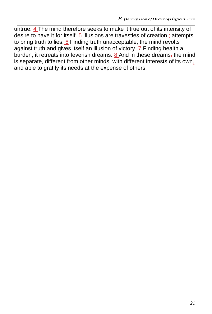untrue. 4 The mind therefore seeks to make it true out of its intensity of desire to have it for itself.  $5$  Illusions are travesties of creation $\frac{1}{2}$  attempts to bring truth to lies.  $6$  Finding truth unacceptable, the mind revolts against truth and gives itself an illusion of victory. 7 Finding health a burden, it retreats into feverish dreams.  $8$  And in these dreams, the mind is separate, different from other minds, with different interests of its own, and able to gratify its needs at the expense of others.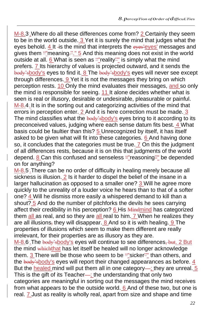M-8.3. Where do all these differences come from? 2 Certainly they seem to be in the world outside. 3 Yet it is surely the mind that judges what the eyes behold. 4 It -is the mind that interprets the eyes'eyes' messages and gives them "meaning."." 5 And this meaning does not exist in the world outside at all. 6 What is seen as "reality" is simply what the mind prefers. 7 Its hierarchy of values is projected outward, and it sends the body'sbody's eyes to find it. 8 The body'sbody's eyes will never see except through differences. 9 Yet it is not the messages they bring on which perception rests. 10 Only the mind evaluates their messages, and so only the mind is responsible for seeing. 11 It alone decides whether what is seen is real or illusory, desirable or undesirable, pleasurable or painful. M-8.4. It is in the sorting out and categorizing activities of the mind that errors in perception enter. 2 And it is here correction must be made. 3 The mind classifies what the body'sbody's eyes bring to it according to its preconceived values, judging where each sense datum fits best. 4 What basis could be faultier than this? 5 Unrecognized by itself, it has itself asked to be given what will fit into these categories. 6 And having done so, it concludes that the categories must be true. 7 On this the judgment of all differences rests, because it is on this that judgments of the world depend. 8 Can this confused and senseless  $\frac{4}{5}$  reasoning<sup>2</sup> be depended on for anything?

M-8.5. There can be no order of difficulty in healing merely because all sickness is illusion. 2 Is it harder to dispel the belief of the insane in a larger hallucination as opposed to a smaller one?  $3$  Will he agree more quickly to the unreality of a louder voice he hears than to that of a softer one? 4 Will he dismiss more easily a whispered demand to kill than a shout? 5 And do the number of pitchforks the devils he sees carrying affect their credibility in his perception? 6 His Mindmind has categorized them all as real, and so they are all real to him. 7 When he realizes they are all illusions, they will disappear.  $8$  And so it is with healing.  $9$  The properties of illusions which seem to make them different are really irrelevant, for their properties are as illusory as they are.

M-8.6. The body's body's eyes will continue to see differences, but. 2 But the mind whichthat has let itself be healed will no longer acknowledge them.  $3$  There will be those who seem to be "sicker" than others, and the body's eyes will report their changed appearances as before. 4 But the healed mind will put them all in one category—; they are unreal.  $\frac{5}{5}$ This is the gift of its Teacher—; the understanding that only two categories are meaningful in sorting out the messages the mind receives from what appears to be the outside world. 6 And of these two, but one is real. 7 Just as reality is wholly real, apart from size and shape and time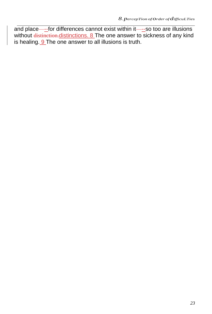and place—-for differences cannot exist within it—-so too are illusions without distinction.distinctions. 8 The one answer to sickness of any kind is healing. **9** The one answer to all illusions is truth.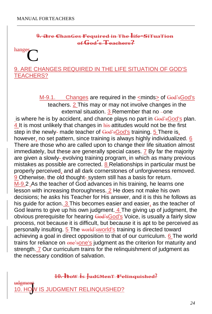**C** 

hange

#### **9. are chanGes required in The life‑siTuaTion of God'<sup>s</sup> Teachers?**

# 9. ARE CHANGES REQUIRED IN THE LIFE SITUATION OF GOD'S TEACHERS?

M-9.1. Changes are required in the  $\leq$ minds of  $\leq$   $\leq$   $\leq$   $\leq$   $\leq$   $\leq$   $\leq$   $\leq$   $\leq$   $\leq$   $\leq$   $\leq$   $\leq$   $\leq$   $\leq$   $\leq$   $\leq$   $\leq$   $\leq$   $\leq$   $\leq$   $\leq$   $\leq$   $\leq$   $\leq$   $\leq$   $\leq$   $\leq$   $\leq$ teachers. 2 This may or may not involve changes in the external situation.  $3$  Remember that no  $-\text{one}$ is where he is by accident, and chance plays no part in God'sGod's plan. 4 It is most unlikely that changes in his attitudes would not be the first step in the newly- made teacher of God'sGod's training. 5 There is, however, no set pattern, since training is always highly individualized. 6 There are those who are called upon to change their life situation almost immediately, but these are generally special cases. 7 By far the majority are given a slowly-evolving training program, in which as many previous mistakes as possible are corrected. 8 Relationships in particular must be properly perceived, and all dark cornerstones of unforgiveness removed. **9 Otherwise**, the old thought-system still has a basis for return. M-9.2. As the teacher of God advances in his training, he learns one lesson with increasing thoroughness. 2 He does not make his own decisions; he asks his Teacher for His answer, and it is this he follows as his guide for action. 3 This becomes easier and easier, as the teacher of God learns to give up his own judgment.  $\overline{4}$  The giving up of judgment, the obvious prerequisite for hearing God's God's Voice, is usually a fairly slow process, not because it is difficult, but because it is apt to be perceived as personally insulting. 5 The world's world's training is directed toward achieving a goal in direct opposition to that of our curriculum. 6 The world trains for reliance on  $ene'sone's$  judgment as the criterion for maturity and strength. 7 Our curriculum trains for the relinquishment of judgment as the necessary condition of salvation.

#### **10. hoW <sup>i</sup><sup>s</sup> <sup>J</sup>udGMenT relinquished?**

 $\frac{1}{2}$ udgment **IS JUDGMENT RELINQUISHED?**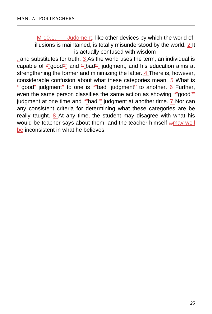M-10.1. Judgment, like other devices by which the world of illusions is maintained, is totally misunderstood by the world. 2 It is actually confused with wisdom

, and substitutes for truth. 3 As the world uses the term, an individual is capable of  $\frac{100}{100}$  and  $\frac{100}{100}$  indepent, and his education aims at strengthening the former and minimizing the latter. 4 There is, however, considerable confusion about what these categories mean. 5 What is " good" judgment<sup>2</sup> to one is "bad" judgment<sup>2</sup> to another. 6 Further, even the same person classifies the same action as showing "good" judgment at one time and " bad" judgment at another time. 7 Nor can any consistent criteria for determining what these categories are be really taught.  $8$  At any time, the student may disagree with what his would-be teacher says about them, and the teacher himself ismay well be inconsistent in what he believes.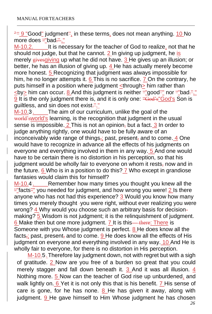$2.4$  9 "Good" judgment<sup>2</sup>, in these terms, does not mean anything. 10 No more does "bad."."

M-10.2. It is necessary for the teacher of God to realize, not that he should not judge, but that he cannot.  $2 \ln$  giving up judgment, he is merely  $\frac{e}{2}$ ivesgiving up what he did not have.  $\frac{3}{2}$  He gives up an illusion; or better, he has an illusion of giving up.  $4$  He has actually merely become more honest. 5 Recognizing that judgment was always impossible for him, he no longer attempts it.  $6$  This is no sacrifice.  $7$  On the contrary, he puts himself in a position where judgment <through> him rather than  $\leq$ by him can occur. 8 And this judgment is neither  $\frac{a_1}{b_1}$  good<sup>29</sup>" nor  $\frac{a_1}{b_1}$  had.<sup>23</sup> 9 It is the only judgment there is, and it is only one: "God's" God's Son is guiltless, and sin does not exist."."

M-10.3. The aim of our curriculum, unlike the goal of the world'sworld's learning, is the recognition that judgment in the usual sense is impossible.  $2$  This is not an opinion, but a fact.  $3$  In order to judge anything rightly, one would have to be fully aware of an inconceivably wide range of things<sub> $\frac{1}{2}$ </sub> past, present, and to come.  $\frac{4}{3}$  One would have to recognize in advance all the effects of his judgments on everyone and everything involved in them in any way. 5 And one would have to be certain there is no distortion in his perception, so that his judgment would be wholly fair to everyone on whom it rests, now and in the future.  $6$  Who is in a position to do this?  $7$  Who except in grandiose fantasies would claim this for himself?

 $M-10.4$ . Remember how many times you thought you knew all the ""facts"" you needed for judgment, and how wrong you were!  $2$  Is there anyone who has not had this experience? 3 Would you know how many times you merely thought -you were right, without ever realizing you were wrong? 4 Why would you choose such an arbitrary basis for decisionmaking? 5 Wisdom is not judgment; it is the relinguishment of judgment. 6 Make then but one more judgment. 7 It is this—there: There is Someone with you Whose judgment is perfect. 8 He does know all the facts<sub> $\frac{1}{2}$ </sub> past, present, and to come. **9** He does know all the effects of His judgment on everyone and everything involved in any way. 10 And He is wholly fair to everyone, for there is no distortion in His perception.

M-10.5. Therefore lay judgment down, not with regret but with a sigh of gratitude. 2 Now are you free of a burden so great that you could merely stagger and fall down beneath it. 3 And it was all illusion. 4 Nothing more. 5 Now can the teacher of God rise up unburdened, and walk lightly on. 6 Yet it is not only this that is his benefit. 7 His sense of care is gone, for he has none.  $8$  He has given it away, along with judgment. 9 He gave himself to Him Whose judgment he has chosen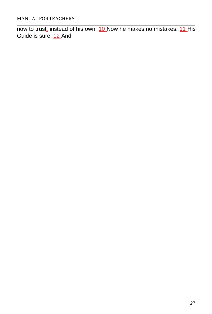MANUAL FORTEACHERS

now to trust, instead of his own.  $\underline{10}$  Now he makes no mistakes.  $\underline{11}$  His Guide is sure. 12 And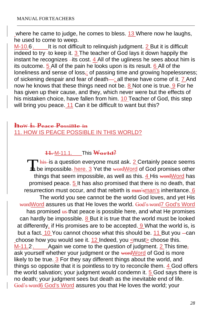where he came to judge, he comes to bless. 13 Where now he laughs, he used to come to weep.

M-10.6. It is not difficult to relinquish judgment. 2 But it is difficult indeed to try -to keep it. 3 The teacher of God lays it down happily the instant he recognizes  $-$ its cost.  $4$  All of the ugliness he sees about him is its outcome. 5 All of the pain he looks upon is its result. 6 All of the loneliness and sense of loss<sub>5</sub>; of passing time and growing hopelessness; of sickening despair and fear of death—; all these have come of it. 7 And now he knows that these things need not be. 8 Not one is true. 9 For he has given up their cause, and they, which never were but the effects of his mistaken choice, have fallen from him. 10 Teacher of God, this step will bring you peace. 11 Can it be difficult to want but this?

#### **hoW i<sup>s</sup> Peace PossiBle in** 11. HOW IS PEACE POSSIBLE IN THIS WORLD?

# **11.** M-11.1. This **World?**

**T** his is a question everyone must ask. 2 Certainly peace seems<br>to be impossible, here, 3 Yet the wordWord of God promises other **This** is a question everyone must ask. 2 Certainly peace seems things that seem impossible, as well as this. 4 His word Word has promised peace. 5 It has also promised that there is no death, that resurrection must occur, and that rebirth is man'sman's inheritance. 6 The world you see cannot be the world God loves, and yet His wordWord assures us that He loves the world. God's word7 God's Word has promised us that peace is possible here, and what He promises can hardly be impossible.  $8$  But it is true that the world must be looked at differently, if His promises are to be accepted.  $9$  What the world is, is but a fact.  $10$  You cannot choose what this should be.  $11$  But you -can choose how you would see it.  $12$  Indeed, you  $\leq$  must > choose this.  $M-11.2$ . Again we come to the question of judgment. 2 This time, ask yourself whether your judgment or the wordWord of God is more likely to be true.  $3$  For they say different things about the world, and things so opposite that it is pointless to try to reconcile them. 4 God offers the world salvation; your judgment would condemn it. 5 God says there is no death; your judgment sees but death as the inevitable end of life. God's word6 God's Word assures you that He loves the world; your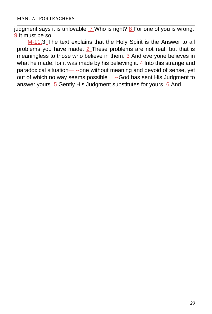judgment says it is unlovable. 7 Who is right? 8 For one of you is wrong. 9 It must be so.

M-11.3 .The text explains that the Holy Spirit is the Answer to all problems you have made. 2 These problems are not real, but that is meaningless to those who believe in them. 3 And everyone believes in what he made, for it was made by his believing it.  $4$  Into this strange and paradoxical situation—,--one without meaning and devoid of sense, yet out of which no way seems possible—,--God has sent His Judgment to answer yours. 5 Gently His Judgment substitutes for yours. 6 And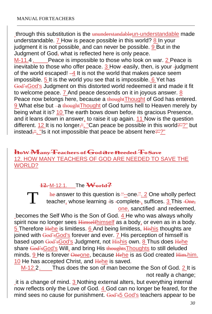through this substitution is the ununderstandable un-understandable made understandable. 7 How is peace possible in this world? 8 In your judgment it is not possible, and can never be possible. 9 But in the Judgment of God, what is reflected here is only peace. M-11.4. Peace is impossible to those who look on war. 2 Peace is inevitable to those who offer peace.  $3$  How -easily, then, is your -judgment of the world escaped!  $-4$  It is not the world that makes peace seem impossible. 5 It is the world you see that is impossible. 6 Yet has God'sGod's Judgment on this distorted world redeemed it and made it fit to welcome peace. 7 And peace descends on it in joyous answer. 8 Peace now belongs here, because a thoughtThought of God has entered. 9 What else but -a thoughtThought of God turns hell to Heaven merely by being what it is? 10 The earth bows down before its gracious Presence, and it leans down in answer, to raise it up again.  $11$  Now is the question different. 12 It is no longer, "Can peace be possible in this world?"?" but instead,", "Is it not impossible that peace be absent here?"?"

## **hoWManyTeachers ofGodareneeded Tosave** 12. HOW MANY TEACHERS OF GOD ARE NEEDED TO SAVE THE WORLD?

# **12.** M-12.1. The **World?**

T he answer to this question is  $\frac{6}{12}$ -one.". 2 One wholly perfect teacher, whose learning - is -complete-, suffices. 3 This -One, one, sanctified and redeemed,

becomes the Self Who is the Son of God. 4 He who was always wholly spirit now no longer sees **Himselfhimself** as a body, or even as in a body. 5 Therefore Hehe is limitless. 6 And being limitless, Hishis thoughts are joined with God'sGod's forever and ever. 7 His perception of himself is based upon God'sGod's Judgment, not Hishis own. 8 Thus does Hehe share God'sGod's Will, and bring His thoughtsThoughts to still deluded minds. 9 He is forever Oneone, because Hehe is as God created Him.him. 10 He has accepted Christ, and Hehe is saved.

M-12.2. Thus does the son of man become the Son of God. 2 It is not really a change;

it is a change of mind. 3 Nothing external alters, but everything internal now reflects only the Love of God. 4 God can no longer be feared, for the mind sees no cause for punishment. God's5 God's teachers appear to be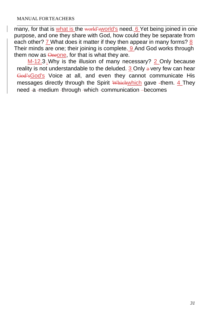MANUAL FORTEACHERS

many, for that is what is the world's world's need. 6 Yet being joined in one purpose, and one they share with God, how could they be separate from each other? 7 What does it matter if they then appear in many forms? 8 Their minds are one; their joining is complete. 9 And God works through them now as  $\Theta$ <sub>ne</sub>one, for that is what they are.

M-12.3 .Why is the illusion of many necessary? 2 Only because reality is not understandable to the deluded.  $3$  Only  $a$ -very few can hear God'sGod's Voice at all, and even they cannot communicate His messages directly through the Spirit Whichwhich gave -them. 4 They need -a -medium -through -which -communication -becomes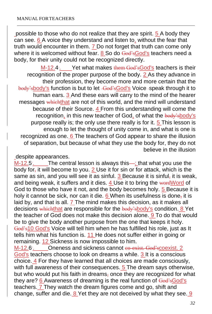possible to those who do not realize that they are spirit. 5 A body they can see.  $6A$  voice they understand and listen to, without the fear that truth would encounter in them. 7 Do not forget that truth can come only where it is welcomed without fear. 8 So do God'sGod's teachers need a body, for their unity could not be recognized directly.

M-12.4. Yet what makes them God's God's teachers is their recognition of the proper purpose of the body. 2 As they advance in their profession, they become more and more certain that the body'sbody's function is but to let -God'sGod's Voice -speak through it to human ears. 3 And these ears will carry to the mind of the hearer messages whichthat are not of this world, and the mind will understand because of their Source. 4 From this understanding will come the recognition, in this new teacher of God, of what the body'sbody's purpose really is; the only use there really is for it. 5 This lesson is enough to let the thought of unity come in, and what is one is recognized as one. 6 The teachers of God appear to share the illusion of separation, but because of what they use the body for, they do not believe in the illusion

#### despite appearances.

 $M-12.5$ . The central lesson is always this—; that what you use the body for, it will become to you. 2 Use it for sin or for attack, which is the same as sin, and you will see it as sinful. 3 Because it is sinful, it is weak, and being weak, it suffers and it dies. 4 Use it to bring the wordWord of God to those who have it not, and the body becomes holy. **5** Because it is holy it cannot be sick, nor can it die. 6 When its usefulness is done, it is laid by, and that is all.  $Z$  The mind makes this decision, as it makes all decisions whichthat are responsible for the body'sbody's condition. 8 Yet the teacher of God does not make this decision alone. 9 To do that would be to give the body another purpose from the one that keeps it holy. God's10 God's Voice will tell him when he has fulfilled his role, just as It tells him what his function is. 11 He does not suffer either in going or remaining. 12 Sickness is now impossible to him.

M-12.6 . Oneness and sickness cannot co-exist. God'scoexist. 2 God's teachers choose to look on dreams a while. 3 It is a conscious choice. 4 For they have learned that all choices are made consciously, with full awareness of their consequences. 5 The dream says otherwise, but who would put his faith in dreams, once they are recognized for what they are? 6 Awareness of dreaming is the real function of God'sGod's teachers.  $\overline{7}$  They watch the dream figures come and go, shift and change, suffer and die. 8 Yet they are not deceived by what they see. 9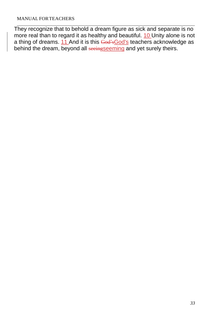MANUAL FORTEACHERS

They recognize that to behold a dream figure as sick and separate is no more real than to regard it as healthy and beautiful. 10 Unity alone is not a thing of dreams. 11 And it is this God'sGod's teachers acknowledge as behind the dream, beyond all seeingseeming and yet surely theirs.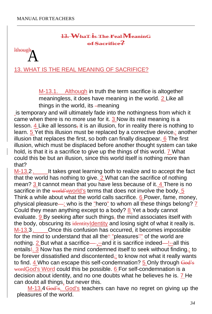## **13. WhaT is The realMeaninG ofsacrifice?**

 $\overline{A}^{\text{th}}$ lthough

# 13. WHAT IS THE REAL MEANING OF SACRIFICE?

M-13.1. Although in truth the term sacrifice is altogether meaningless, it does have meaning in the world. 2 Like all things in the world, its  $-meaning$ 

is temporary and will ultimately fade into the nothingness from which it came when there is no more use for it. 3 Now its real meaning is a lesson. 4 Like all lessons, it is an illusion, for in reality there is nothing to learn. 5 Yet this illusion must be replaced by a corrective device<sub>r</sub>; another illusion that replaces the first, so both can finally disappear. 6 The first illusion, which must be displaced before another thought system can take hold, is that it is a sacrifice to give up the things of this world. 7 What could this be but an illusion, since this world itself is nothing more than that?

M-13.2. It takes great learning both to realize and to accept the fact that the world has nothing to give. 2 What can the sacrifice of nothing mean? 3 It cannot mean that you have less because of it. 4 There is no sacrifice in the world'sworld's terms that does not involve the body. 5 Think a while about what the world calls sacrifice.  $6$  Power, fame, money, physical pleasure—; who is the "hero" to whom all these things belong? 7 Could they mean anything except to a body? 8 Yet a body cannot evaluate. 9 By seeking after such things, the mind associates itself with the body, obscuring its identity Identity and losing sight of what it really is. M-13.3. Once this confusion has occurred, it becomes impossible for the mind to understand that all the ""pleasures" of the world are nothing. 2 But what a sacrifice—,--and it is sacrifice indeed—!--all this entails!  $\frac{1}{2}$  Now has the mind condemned itself to seek without finding, to be forever dissatisfied and discontented $\vec{z}$ ; to know not what it really wants to find. 4 Who can escape this self-condemnation? 5 Only through God's wordGod's Word could this be possible. 6 For self-condemnation is a decision about identity, and no one doubts what he believes he is. 7 He can doubt all things, but never this.

M-13.4 God's. God's teachers can have no regret on giving up the pleasures of the world.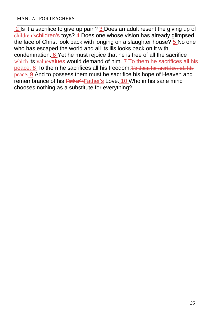2 Is it a sacrifice to give up pain? 3 Does an adult resent the giving up of children'schildren's toys? 4 Does one whose vision has already glimpsed the face of Christ look back with longing on a slaughter house? 5 No one who has escaped the world and all its ills looks back on it with condemnation. 6 Yet he must rejoice that he is free of all the sacrifice which its valuevalues would demand of him. 7 To them he sacrifices all his peace. 8 To them he sacrifices all his freedom.To them he sacrifices all his peace. 9 And to possess them must he sacrifice his hope of Heaven and remembrance of his Father's Father's Love. 10 Who in his sane mind chooses nothing as a substitute for everything?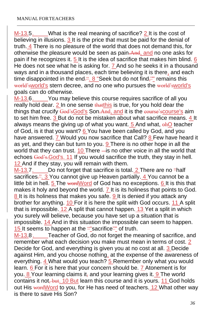$M-13.5$ . What is the real meaning of sacrifice?  $2$  It is the cost of believing in illusions. 3 It is the price that must be paid for the denial of truth. 4 There is no pleasure of the world that does not demand this, for otherwise the pleasure would be seen as pain. And, and no one asks for pain if he recognizes it. 5 It is the idea of sacrifice that makes him blind. 6 He does not see what he is asking for. 7 And so he seeks it in a thousand ways and in a thousand places, each time believing it is there, and each time disappointed in the end.".  $8$  "Seek but do not find." remains this world'sworld's stern decree, and no one who pursues the world'sworld's goals can do otherwise.

M-13.6. You may believe this course requires sacrifice of all you really hold dear. 2 In one sense that this is true, for you hold dear the things that crucify God'sGod's Son. And, and it is the course's course's aim to set him free. 3 But do not be mistaken about what sacrifice means. 4 It always means the giving up of what you want.  $5$  And what,  $\theta$  teacher of God, is it that you want?  $6$  You have been called by God, and you have answered. 7 Would you now sacrifice that Call? 8 Few have heard it as yet, and they can but turn to you.  $9$  There is no other hope in all the world that they can trust.  $10$  There  $-i$ s no other voice in all the world that echoes God's. God's. 11 If you would sacrifice the truth, they stay in hell. 12 And if they stay, you will remain with them.

M-13.7. Do not forget that sacrifice is total. 2 There are no "half sacrifices.<sup>2</sup>. 3 You cannot give up Heaven partially. 4 You cannot be a little bit in hell. 5 The wordWord of God has no exceptions. 6 It is this that makes it holy and beyond the world. 7 It is its holiness that points to God. 8 It is its holiness that makes you safe.  $9$  It is denied if you attack any brother for anything. 10 For it is here the split with God occurs. 11 A split that is impossible.  $12$  A split that cannot happen.  $13$  Yet a split in which you surely will believe, because you have set up a situation that is impossible. 14 And in this situation the impossible can seem to happen. 15 It seems to happen at the "sacrifice" of truth.

M-13.8. Teacher of God, do not forget the meaning of sacrifice, and remember what each decision you make must mean in terms of cost. 2 Decide for God, and everything is given you at no cost at all. 3 Decide against Him, and you choose nothing, at the expense of the awareness of everything. 4 What would you teach? 5 Remember only what you would learn. 6 For it is here that your concern should be. 7 Atonement is for you. 8 Your learning claims it, and your learning gives it. 9 The world contains it not, but. 10 But learn this course and it is yours. 11 God holds out His word Word to you, for He has need of teachers. 12 What other way is there to save His Son?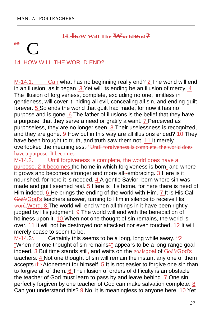an

## **14. hoW Will The Worldend?**

# C 14. HOW WILL THE WORLD END?

M-14.1. Can what has no beginning really end? 2 The world will end in an illusion, as it began. 3 Yet will its ending be an illusion of mercy. 4 The illusion of forgiveness, complete, excluding no one, limitless in gentleness, will cover it, hiding all evil, concealing all sin<sub>j</sub> and ending guilt forever. 5 So ends the world that guilt had made, for now it has no purpose and is gone. 6 The father of illusions is the belief that they have a purpose; that they serve a need or gratify a want. 7 Perceived as purposeless, they are no longer seen. 8 Their uselessness is recognized, and they are gone.  $9$  How but in this way are all illusions ended?  $10$  They have been brought to truth, and truth saw them not. 11 It merely overlooked the meaningless.  $2\text{Until}$  forgiveness is complete, the world does

have a purpose. It becomes

M-14.2. Until forgiveness is complete, the world does have a purpose. 2 It becomes the home in which forgiveness is born, and where it grows and becomes stronger and more all--embracing. 3 Here is it nourished, for here it is needed. 4 A gentle Savior, born where sin was made and quilt seemed real. 5 Here is His home, for here there is need of Him indeed. 6 He brings the ending of the world with Him. 7 It is His Call God'sGod's teachers answer, turning to Him in silence to receive His word. Word. 8 The world will end when all things in it have been rightly judged by His judgment. 9 The world will end with the benediction of holiness upon it. 10 When not one thought of sin remains, the world is over. 11 It will not be destroyed nor attacked nor even touched. 12 It will merely cease to seem to be.

M-14.3. Certainly this seems to be a long, long while away.  $\frac{42}{2}$ "When not one thought of sin remains<sup>21</sup>" appears to be a long-range goal indeed. 3 But time stands still, and waits on the goalsgoal of God'sGod's teachers. 4 Not one thought of sin will remain the instant any one of them accepts the Atonement for himself. 5 It is not easier to forgive one sin than to forgive all of them. 6 The illusion of orders of difficulty is an obstacle the teacher of God must learn to pass by and leave behind. 7 One sin perfectly forgiven by one teacher of God can make salvation complete. 8 Can you understand this? 9 No; it is meaningless to anyone here. 10 Yet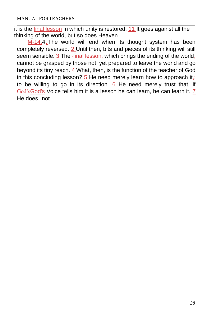$\overline{\phantom{a}}$ 

it is the final lesson in which unity is restored. 11 It goes against all the thinking of the world, but so does Heaven.

M-14.4. The world will end when its thought system has been completely reversed. 2 Until then, bits and pieces of its thinking will still seem sensible. 3 The final lesson, which brings the ending of the world, cannot be grasped by those not -yet prepared to leave the world and go beyond its tiny reach. 4 What, then, is the function of the teacher of God in this concluding lesson?  $5$  He need merely learn how to approach it,; to be willing to go in its direction.  $6$  He need merely trust that, if God'sGod's Voice tells him it is a lesson he can learn, he can learn it. 7 He does -not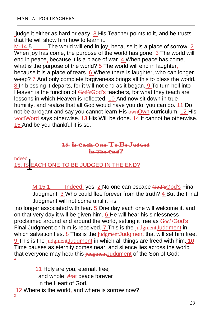judge it either as hard or easy. 8 His Teacher points to it, and he trusts that He will show him how to learn it.

 $M-14.5$ . The world will end in joy, because it is a place of sorrow. 2 When joy has come, the purpose of the world has gone. 3 The world will end in peace, because it is a place of war. 4 When peace has come, what is the purpose of the world? 5 The world will end in laughter, because it is a place of tears. 6 Where there is laughter, who can longer weep? 7 And only complete forgiveness brings all this to bless the world. 8 In blessing it departs, for it will not end as it began. 9 To turn hell into Heaven is the function of God'sGod's teachers, for what they teach are lessons in which Heaven is reflected. 10 And now sit down in true humility, and realize that all God would have you do, you can do. 11 Do not be arrogant and say you cannot learn His **ownOwn curriculum.** 12 His wordWord says otherwise. 13 His Will be done. 14 It cannot be otherwise. 15 And be you thankful it is so.

## **15. is each one To Be JudGed in The end?**

 $\frac{1}{2}$ ndeed 15. IS EACH ONE TO BE JUDGED IN THE END?

> M-15.1. Indeed, yes! 2 No one can escape God'sGod's Final Judgment. 3 Who could flee forever from the truth? 4 But the Final Judgment will not come until it  $-$ is

no longer associated with fear. 5 One day each one will welcome it, and on that very day it will be given him.  $6$  He will hear his sinlessness proclaimed around and around the world, setting it free as God'sGod's Final Judgment on him is received. 7 This is the judgment Judgment in which salvation lies.  $8$  This is the  $\frac{1}{100}$  intertant that will set him free. 9 This is the judgment Judgment in which all things are freed with him. 10 Time pauses as eternity comes near, and silence lies across the world that everyone may hear this **judgmentJudgment of the Son of God:** 2

> 11 Holy are you, eternal, free*,* and whole, *At*at peace forever in the Heart of God.

12 Where is the world, and where is sorrow now?

3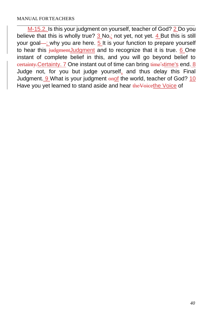M-15.2. Is this your judgment on yourself, teacher of God? 2 Do you believe that this is wholly true?  $3$  No<sub> $5$ </sub> not yet, not yet. 4 But this is still your goal—; why you are here. 5 It is your function to prepare yourself to hear this **judgment** Judgment and to recognize that it is true. 6 One instant of complete belief in this, and you will go beyond belief to eertainty.Certainty. 7 One instant out of time can bring time'stime's end. 8 Judge not, for you but judge yourself, and thus delay this Final Judgment. 9 What is your judgment onof the world, teacher of God? 10 Have you yet learned to stand aside and hear the Voicethe Voice of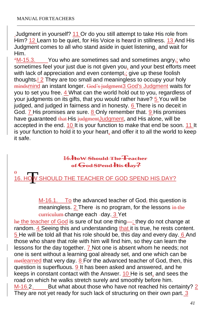Judgment in yourself? 11 Or do you still attempt to take His role from Him? 12 Learn to be quiet, for His Voice is heard in stillness. 13 And His Judgment comes to all who stand aside in quiet listening, and wait for Him.

 $4M-15.3$ . You who are sometimes sad and sometimes angry<sub>5</sub>; who sometimes feel your just due is not given you, and your best efforts meet with lack of appreciation and even contempt<sub>s</sub>; give up these foolish thoughts.! 2 They are too small and meaningless to occupy your holy mindsmind an instant longer. God's judgment3 God's Judgment waits for you to set you free. 4 What can the world hold out to you, regardless of your judgments on its gifts, that you would rather have? 5 You will be judged, and judged in fairness and in honesty. 6 There is no deceit in God. 7 His promises are sure. 8 Only remember that. 9 His promises have guaranteed that His judgment Judgment, and His alone, will be accepted in the end. 10 It is your function to make that end be soon. 11 It is your function to hold it to your heart, and offer it to all the world to keep it safe.

#### **16.hoW should TheTeacher ofGod sPend hisday?**

<del>о</del><br>16. НО<mark>М</mark> 16. HOW SHOULD THE TEACHER OF GOD SPEND HIS DAY?

> M-16.1. To the advanced teacher of God<sub>7</sub> this question is meaningless.  $2$  There - is no program, for the lessons in the eurriculum change each -day. 3 Yet

he the teacher of God is sure of but one thing—; they do not change at random. 4 Seeing this and understanding that it is true, he rests content. 5 He will be told all that his role should be, this day and every day. 6 And those who share that role with him will find him, so they can learn the lessons for the day together. 7 Not one is absent whom he needs; not one is sent without a learning goal already set, and one which can be metlearned that very day. 8 For the advanced teacher of God, then, this question is superfluous. 9 It has been asked and answered, and he keeps in constant contact with the Answer. 10 He is set, and sees the road on which he walks stretch surely and smoothly before him. M-16.2. But what about those who have not reached his certainty? 2 They are not yet ready for such lack of structuring on their own part. 3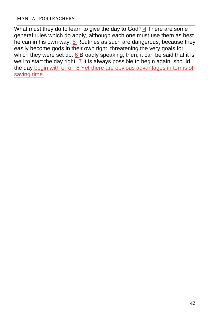$\overline{\phantom{a}}$ 

What must they do to learn to give the day to God? 4 There are some general rules which do apply, although each one must use them as best he can in his own way. 5 Routines as such are dangerous, because they easily become gods in their own right, threatening the very goals for which they were set up.  $6$  Broadly speaking, then, it can be said that it is well to start the day right. 7 It is always possible to begin again, should the day begin with error. 8 Yet there are obvious advantages in terms of saving time.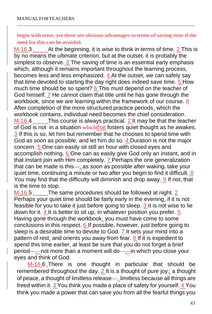## begin with error, yet there are obvious advantages in terms of saving time if the need for this can be avoided.

M-16.3. At the beginning, it is wise to think in terms of time. 2 This is by no means the ultimate criterion, but at the outset, it is probably the simplest to observe. 3 The saving of time is an essential early emphasis which, although it remains important throughout the learning process, becomes less and less emphasized. 4 At the outset, we can safely say that time devoted to starting the day right does indeed save time.  $5 \text{ How}$ much time should be so spent? 6 This must depend on the teacher of God himself. 7 He cannot claim that title until he has gone through the workbook, since we are learning within the framework of our course. 8 After completion of the more structured practice periods, which the workbook contains, individual need becomes the chief consideration. M-16.4. This course is always practical. 2 It may be that the teacher of God is not -in a situation whichthat fosters quiet thought as he awakes. 3 If this is so, let him but remember that he chooses to spend time with God as soon as possible, and let him do so. 4 Duration is not the major concern. 5 One can easily sit still an hour with closed eyes and accomplish nothing. 6 One can as easily give God only an instant, and in that instant join with  $\overline{H}$ im completely.  $\overline{Z}$  Perhaps the one generalization that can be made is this—; as soon as possible after waking, take your quiet time, continuing a minute or two after you begin to find it difficult.  $8$ You may find that the difficulty will diminish and drop away. 9 If not, that is the time to stop.

M-16.5 . The same procedures should be followed at night. 2 Perhaps your quiet time should be fairly early in the evening, if it is not feasible for you to take it just before going to sleep.  $3$  It is not wise to lie down for it. 4 It is better to sit up, in whatever position you prefer. 5 Having gone through the workbook, you must have come to some conclusions in this respect.  $6$  If possible, however, just before going to sleep is a desirable time to devote to God. 7 It sets your mind into a pattern of rest, and orients you away from fear. 8 If it is expedient to spend this time earlier, at least be sure that you do not forget a brief period—,--not more than a moment will do—,--in which you close your eyes and think of God.

M-16.6 There is one thought in particular that should be remembered throughout the day.  $2$  It is a thought of pure joy; a thought of peace, a thought of limitless release—, limitless because all things are freed within it.  $3$  You think you made a place of safety for yourself.  $4$  You think you made a power that can save you from all the fearful things you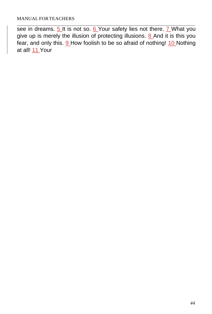see in dreams. It is not so.  $6$  Your safety lies not there.  $7$  What you give up is merely the illusion of protecting illusions. And it is this you fear, and only this. How foolish to be so afraid of nothing!  $10$  Nothing at all! 11 Your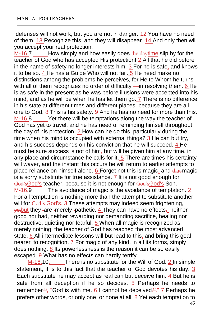defenses will not work, but you are not in danger. 12 You have no need of them. 13 Recognize this, and they will disappear. 14 And only then will you accept your real protection.

 $M-16.7$  . How simply and how easily does the daytime slip by for the teacher of God who has accepted His protection! 2 All that he did before in the name of safety no longer interests him.  $3$  For he is safe, and knows it to be so. 4 He has a Guide Who will not fail.  $5$  He need make no distinctions among the problems he perceives, for He to Whom he turns with all of them recognizes no order of difficulty  $\frac{1}{2}$  in resolving them. 6 He is as safe in the present as he was before illusions were accepted into his  $mind_1$  and as he will be when he has let them go.  $\overline{7}$  There is no difference in his state at different times and different places, because they are all one to God. 8 This is his safety. 9 And he has no need for more than this. M-16.8 . Yet there will be temptations along the way the teacher of God has yet to travel, and he has need of reminding himself throughout the day of his protection.  $2$  How can he do this, particularly during the time when his mind is occupied with external things?  $3$  He can but try, and his success depends on his conviction that he will succeed. 4 He must be sure success is not of him, but will be given him at any time, in any place and circumstance he calls for it.  $\frac{5}{5}$  There are times his certainty will waver, and the instant this occurs he will return to earlier attempts to place reliance on himself alone.  $6$  Forget not this is magic, and that magic is a sorry substitute for true assistance. 7 It is not good enough for God'sGod's teacher, because it is not enough for God'sGod's Son. M-16.9. The avoidance of magic is the avoidance of temptation. 2 For all temptation is nothing more than the attempt to substitute another will for God's.God's. 3 These attempts may indeed seem frightening,  $y$ etbut they -are -merely -pathetic.  $4$  They can have no effects<sub>il</sub> neither good nor bad, neither rewarding nor demanding sacrifice, healing nor destructive, quieting nor fearful. 5 When all magic is recognized as merely nothing, the teacher of God has reached the most advanced state. 6 All intermediate lessons will but lead to this, and bring this goal nearer to recognition. 7 For magic of any kind, in all its forms, simply does nothing. 8 Its powerlessness is the reason it can be so easily escaped. 9 What has no effects can hardly terrify.

M-16.10. There is no substitute for the Will of God. 2 In simple statement, it is to this fact that the teacher of God devotes his day.  $3$ Each substitute he may accept as real can but deceive him.  $4$  But he is safe from all deception if he so decides. **5** Perhaps he needs to remember  $\frac{a}{b}$  "God is with me. 6 I cannot be deceived.". 7 Perhaps he prefers other words, or only one, or none at all. 8 Yet each temptation to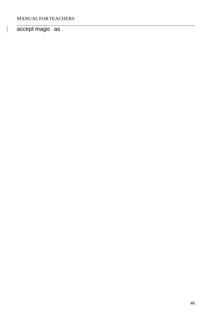accept magic -as

 $\overline{\phantom{a}}$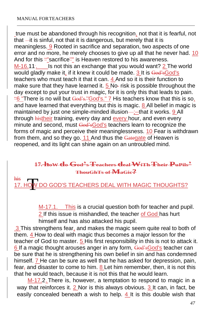true must be abandoned through his recognition, not that it is fearful, not that  $-it$  is sinful, not that it is dangerous, but merely that it is meaningless. 9 Rooted in sacrifice and separation, two aspects of one error and no more, he merely chooses to give up all that he never had. 10 And for this "sacrifice" is Heaven restored to his awareness. M-16.11. Is not this an exchange that you would want? 2 The world would gladly make it, if it knew it could be made.  $3$  It is  $6d^2s\frac{1}{3}$ teachers who must teach it that it can. 4 And so it is their function to make sure that they have learned it.  $5$  No-risk is possible throughout the day except to put your trust in magic, for it is only this that leads to pain. "6 "There is no will but God's."God's." 7 His teachers know that this is so, and have learned that everything but this is magic.  $8$  All belief in magic is maintained by just one simple-minded illusion—;--that it works. 9 All through histheir training, every day and every hour, and even every minute and second, must God'sGod's teachers learn to recognize the forms of magic and perceive their meaninglessness. 10 Fear is withdrawn from them, and so they go. 11 And thus the Gategate of Heaven is reopened, and its light can shine again on an untroubled mind.

# **17. hoW do God' <sup>s</sup>Teachers dealWiThTheir PuPils' ThouGhTs of MaGic?**

#### **OW** his 17. HOW DO GOD'S TEACHERS DEAL WITH MAGIC THOUGHTS?

M-17.1. This is a crucial question both for teacher and pupil. 2 If this issue is mishandled, the teacher of God has hurt himself and has also attacked his pupil.

3 This strengthens fear, and makes the magic seem quite real to both of them. 4 How to deal with magic thus becomes a major lesson for the teacher of God to master. 5 His first responsibility in this is not to attack it. 6 If a magic thought arouses anger in any form, God's God's teacher can be sure that he is strengthening his own belief in sin and has condemned himself. 7 He can be sure as well that he has asked for depression, pain, fear, and disaster to come to him.  $8$  Let him remember, then, it is not this that he would teach, because it is not this that he would learn.

M-17.2.There is, however, a temptation to respond to magic in a way that reinforces it. 2 Nor is this always obvious. 3 It can, in fact, be easily concealed beneath a wish to help. 4 It is this double wish that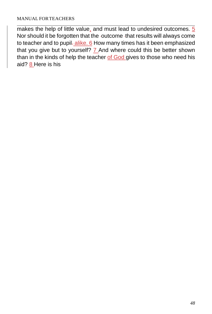MANUAL FORTEACHERS

makes the help of little value, and must lead to undesired outcomes. 5 Nor should it be forgotten that the outcome that results will always come to teacher and to pupil-alike. 6 How many times has it been emphasized that you give but to yourself? 7 And where could this be better shown than in the kinds of help the teacher of God gives to those who need his aid? 8 Here is his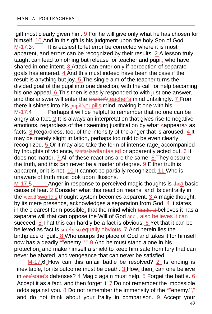gift most clearly given him. **9** For he will give only what he has chosen for himself. 10 And in this gift is his judgment upon the holy Son of God. M-17.3. It is easiest to let error be corrected where it is most apparent, and errors can be recognized by their results. 2 A lesson truly taught can lead to nothing but release for teacher and pupil, who have shared in one intent. 3 Attack can enter only if perception of separate goals has entered. 4 And this must indeed have been the case if the result is anything but joy. 5 The single aim of the teacher turns the divided goal of the pupil into one direction, with the call for help becoming his one appeal. 6 This then is easily responded to with just one answer, and this answer will enter the teacher'steacher's mind unfailingly. 7 From there it shines into his **pupil'spupil's mind, making it one with his.** M-17.4. Perhaps it will be helpful to remember that no one can be angry at a fact. 2 It is always an interpretation that gives rise to negative emotions, regardless of their seeming justification by what  $\leq$ appears as facts.  $3$  Regardless, too, of the intensity of the anger that is aroused.  $4$  It may be merely slight irritation, perhaps too mild to be even clearly recognized. 5 Or it may also take the form of intense rage, accompanied by thoughts of violence, fantasized fantasied or apparently acted out. 6 It does not matter. 7 All of these reactions are the same. 8 They obscure the truth, and this can never be a matter of degree.  $9$  Either truth is apparent, or it is not. 10 It cannot be partially recognized. 11 Who is unaware of truth must look upon illusions.

 $M-17.5$ . Anger in response to perceived magic thoughts is the abasic cause of fear. 2 Consider what this reaction means, and its centrality in the world'sworld's thought system becomes apparent. 3 A magic thought, by its mere presence, acknowledges a separation from God. 4 It states, in the clearest form possible, that the mind which thinks it believes it has a separate will that can oppose the Will of God-and, also believes it can succeed. 5 That this can hardly be a fact is obvious. 6 Yet that it can be believed as fact is surely so.equally obvious. 7 And herein lies the birthplace of guilt. 8 Who usurps the place of God and takes it for himself now has a deadly  $\frac{40}{2}$  enemy.". " 9 And he must stand alone in his protection, and make himself a shield to keep him safe from fury that can never be abated, and vengeance that can never be satisfied.

*49* M-17.6 . How can this unfair battle be resolved? 2 Its ending is inevitable, for its outcome must be death.  $3$  How, then, can one believe in one'sone's defenses? 4 Magic again must help. 5 Forget the battle. 6 Accept it as a fact, and then forget it. 7 Do not remember the impossible odds against you. 8 Do not remember the immensity of the ""enemy"," and do not think about your frailty in comparison. 9 Accept your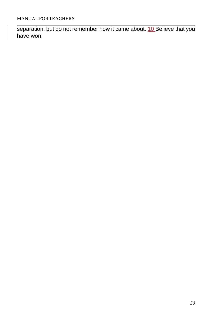MANUAL FORTEACHERS

separation, but do not remember how it came about. 10 Believe that you have won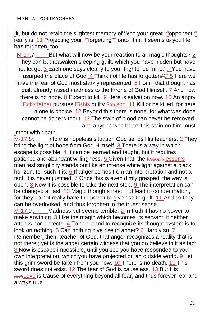it, but do not retain the slightest memory of Who your great  $\leq$ "opponent $\geq$ " really is. 11 Projecting your "reforgetting" onto Him, it seems to you He has forgotten, too.

M-17.7. But what will now be your reaction to all magic thoughts? 2 They can but reawaken sleeping guilt, which you have hidden but have not let go. 3 Each one says clearly to your frightened mind $\frac{a}{r}$  You have usurped the place of God.  $4$  Think not He has forgotten.<sup>22</sup>." 5 Here we have the fear of God most starkly represented. 6 For in that thought has guilt already raised madness to the throne of God Himself. 7 And now there is no hope. 8 Except to kill. 9 Here is salvation now. 10 An angry Fatherfather pursues Hishis guilty Son.son. 11 Kill or be killed, for here alone is choice. 12 Beyond this there is none, for what was done cannot be done without. 13 The stain of blood can never be removed, and anyone who bears this stain on him must

#### meet with death.

M-17.8. Into this hopeless situation God sends His teachers. 2 They bring the light of hope from God Himself. 3 There is a way in which escape is possible. 4 It can be learned and taught, but it requires patience and abundant willingness. 5 Given that, the lesson'slesson's manifest simplicity stands out like an intense white light against a black horizon, for such it is.  $6$  If anger comes from an interpretation and not a fact, it is never justified.  $7$  Once this is even dimly grasped, the way is open. 8 Now it is possible to take the next step. 9 The interpretation can be changed at last. 10 Magic thoughts need not lead to condemnation, for they do not really have the power to give rise to guilt. 11 And so they can be overlooked, and thus forgotten in the truest sense. M-17.9. Madness but seems terrible. 2 In truth it has no power to make anything. 3 Like the magic which becomes its servant, it neither attacks nor protects.  $4$  To see it and to recognize its thought system is to look on nothing. 5 Can nothing give rise to anger? 6 Hardly so. 7 Remember, then, teacher of God, that anger recognizes a reality that is not there,; yet is the anger certain witness that you do believe in it as fact. 8 Now is escape impossible, until you see you have responded to your own interpretation, which you have projected on an outside world. 9 Let this grim sword be taken from you now. 10 There is no death. 11 This sword does not exist. 12 The fear of God is causeless. 13 But His loveLove is Cause of everything beyond all fear, and thus forever real and always true.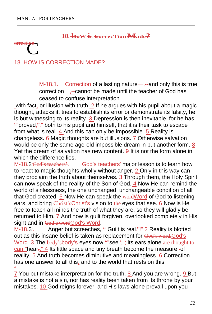**Commund** 

orrecti

# **18. hoW is correcTionMade?**

# 18. HOW IS CORRECTION MADE?

M-18.1. Correction of a lasting nature—,--and only this is true correction—,--cannot be made until the teacher of God has ceased to confuse interpretation

with fact, or illusion with truth. 2 If he argues with his pupil about a magic thought, attacks it, tries to establish its error or demonstrate its falsity, he is but witnessing to its reality. 3 Depression is then inevitable, for he has " proved,"," both to his pupil and himself, that it is their task to escape from what is real. 4 And this can only be impossible. 5 Reality is changeless. 6 Magic thoughts are but illusions. 7 Otherwise salvation would be only the same age-old impossible dream in but another form. 8 Yet the dream of salvation has new content. 9 It is not the form alone in which the difference lies.

M-18.2 God's teachers'. God's teachers' major lesson is to learn how to react to magic thoughts wholly without anger. 2 Only in this way can they proclaim the truth about themselves.  $3$  Through them, the Holy Spirit can now speak of the reality of the Son of God. 4 Now He can remind the world of sinlessness, the one unchanged, unchangeable condition of all that God created.  $5$  Now He can speak the wordWord of God to listening ears, and bring Christ's Christ's vision to the eyes that see. 6 Now is He free to teach all minds the truth of what they are, so they will gladly be returned to Him. 7 And now is guilt forgiven, overlooked completely in His sight and in God's wordGod's Word.

M-18.3. Anger but screeches, ""Guilt is real."!" 2 Reality is blotted out as this insane belief is taken as replacement for God's word.God's Word. 3 The body's body's eyes now "see";" its ears alone are thought to can "hear.." 4 Its little space and tiny breath become the measure -of reality. 5 And truth becomes diminutive and meaningless. 6 Correction has one answer to all this, and to the world that rests on this: 4

7 You but mistake interpretation for the truth. 8 And you are wrong. 9 But a mistake is not a sin, nor has reality been taken from its throne by your mistakes. 10 God reigns forever, and His laws alone prevail upon you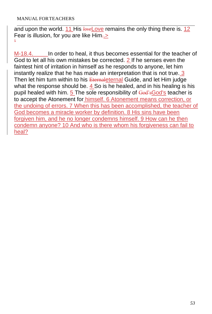and upon the world. 11 His *love*Love remains the only thing there is. 12 Fear is illusion, for you are like Him*.*.> 5

M-18.4. In order to heal, it thus becomes essential for the teacher of God to let all his own mistakes be corrected. 2 If he senses even the faintest hint of irritation in himself as he responds to anyone, let him instantly realize that he has made an interpretation that is not true. 3 Then let him turn within to his **Eternaleternal Guide**, and let Him judge what the response should be. 4 So is he healed, and in his healing is his pupil healed with him. 5 The sole responsibility of God'sGod's teacher is to accept the Atonement for himself. 6 Atonement means correction, or the undoing of errors. 7 When this has been accomplished, the teacher of God becomes a miracle worker by definition. 8 His sins have been forgiven him, and he no longer condemns himself. 9 How can he then condemn anyone? 10 And who is there whom his forgiveness can fail to heal?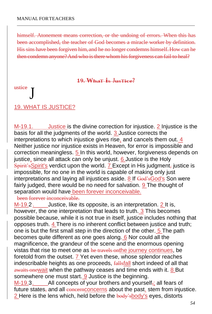himself. Atonement means correction, or the undoing of errors. When this has been accomplished, the teacher of God becomes a miracle worker by definition. His sins have been forgiven him,and he no longer condemns himself.How can he then condemn anyone? And who is there whom his forgiveness can fail to heal?

## **19. WhaT is <sup>J</sup>usTice?**

# $\int$ ustice

# 19. WHAT IS JUSTICE?

M-19.1. Justice is the divine correction for injustice. 2 Injustice is the basis for all the judgments of the world. 3 Justice corrects the interpretations to which injustice gives rise, and cancels them out. 4 Neither justice nor injustice exists in Heaven, for error is impossible and correction meaningless. 5 In this world, however, forgiveness depends on justice, since all attack can only be unjust.  $6$  Justice is the Holy Spirit'sSpirit's verdict upon the world. 7 Except in His judgment, justice is impossible, for no one in the world is capable of making only just interpretations and laying all injustices aside. 8 If God's God's Son were fairly judged, there would be no need for salvation. 9 The thought of separation would have been forever inconceivable.

#### been forever inconceivable.

 $M-19.2$ . Justice, like its opposite, is an interpretation. 2 It is, however, the one interpretation that leads to truth. 3 This becomes possible because, while it is not true in itself, justice includes nothing that opposes truth. 4 There is no inherent conflict between justice and truth; one is but the first small step in the direction of the other. 5 The path becomes quite different as one goes along. 6 Nor could all the magnificence, the grandeur of the scene and the enormous opening vistas that rise to meet one as he travels onthe journey continues, be foretold from the outset. 7 Yet even these, whose splendor reaches indescribable heights as one proceeds,  $falls$ fall short indeed of all that awaits onewait when the pathway ceases and time ends with it. 8 But somewhere one must start. 9 Justice is the beginning.

 $M-19.3$ . All concepts of your brothers and yourself<sub>5</sub>; all fears of future states, and all concernconcerns about the past, stem from injustice. 2 Here is the lens which, held before the body'sbody's eyes, distorts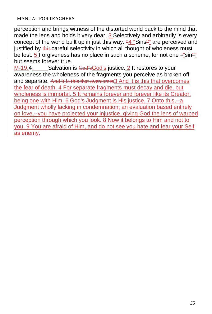MANUAL FORTEACHERS

perception and brings witness of the distorted world back to the mind that made the lens and holds it very dear. 3 Selectively and arbitrarily is every concept of the world built up in just this way.  $44$  "Sins<sup>2"</sup> are perceived and justified by this careful selectivity in which all thought of wholeness must be lost. 5 Forgiveness has no place in such a scheme, for not one  $\frac{d}{dx}$  sin<sup>2"</sup> but seems forever true.

M-19.4. Salvation is God'sGod's justice. 2 It restores to your awareness the wholeness of the fragments you perceive as broken off and separate. And it is this that overcomes 3 And it is this that overcomes the fear of death. 4 For separate fragments must decay and die, but wholeness is immortal. 5 It remains forever and forever like its Creator, being one with Him. 6 God's Judgment is His justice. 7 Onto this,--a Judgment wholly lacking in condemnation; an evaluation based entirely on love,--you have projected your injustice, giving God the lens of warped perception through which you look. 8 Now it belongs to Him and not to you. 9 You are afraid of Him, and do not see you hate and fear your Self as enemy.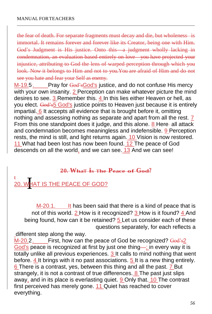the fear of death. For separate fragments must decay and die, but wholeness is immortal. It remains forever and forever like its Creator, being one with Him. God's Judgment is His justice. Onto this—a judgment wholly lacking in condemnation, an evaluation based entirely on love—you have projected your injustice, attributing to God the lens of warped perception through which you look. Now it belongs to Him and not to you.You are afraid of Him and do not see you hate and fear your Self as enemy.

M-19.5. Pray for God'sGod's justice, and do not confuse His mercy with your own insanity. 2 Perception can make whatever picture the mind desires to see. 3 Remember this. 4 In this lies either Heaven or hell, as you elect. God's5 God's justice points to Heaven just because it is entirely impartial. 6 It accepts all evidence that is brought before it, omitting nothing and assessing nothing as separate and apart from all the rest. 7 From this one standpoint does it judge, and this alone.  $8$  Here- all attack and condemnation becomes meaningless and indefensible. 9 Perception rests, the mind is still, and light returns again. 10 Vision is now restored. 11 What had been lost has now been found. 12 The peace of God descends on all the world, and we can see. 13 And we can see!

### **20. WhaT is The Peace of God?**

# <sub>t</sub><br>20. W<u>H</u> 20. WHAT IS THE PEACE OF GOD?

M-20.1. It has been said that there is a kind of peace that is not of this world. 2 How is it recognized? 3 How is it found? 4 And being found, how can it be retained? 5 Let us consider each of these questions separately, for each reflects a

different step along the way.

M-20.2. First, how can the peace of God be recognized? God's2 God's peace is recognized at first by just one thing—; in every way it is totally unlike all previous experiences. 3 It calls to mind nothing that went before. 4 It brings with it no past associations. 5 It is a new thing entirely. 6 There is a contrast, yes, between this thing and all the past. 7 But strangely, it is not a contrast of true differences.  $8$  The past just slips away, and in its place is everlasting quiet. 9 Only that. 10 The contrast first perceived has merely gone. 11 Quiet has reached to cover everything.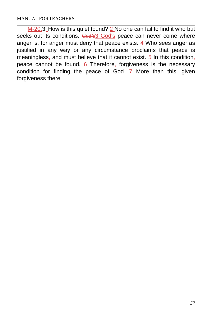M-20.3. How is this quiet found? 2 No one can fail to find it who but seeks out its conditions. God's3 God's peace can never come where anger is, for anger must deny that peace exists. 4 Who sees anger as justified in any way or any circumstance proclaims that peace is meaningless, and must believe that it cannot exist. 5 In this condition, peace cannot be found. 6 Therefore, forgiveness is the necessary condition for finding the peace of God. 7 More than this, given forgiveness there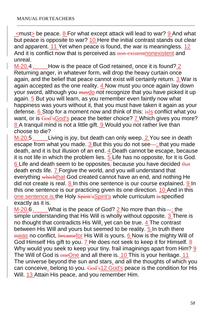$\le$ must be peace. 8 For what except attack will lead to war? 9 And what but peace is opposite to war? 10 Here the initial contrast stands out clear and apparent. 11 Yet when peace is found, the war is meaningless. 12 And it is conflict now that is perceived as non-existentnonexistent and unreal.

M-20.4. How is the peace of God retained, once it is found? 2 Returning anger, in whatever form, will drop the heavy curtain once again, and the belief that peace cannot exist will certainly return. 3 War is again accepted as the one reality.  $4$  Now must you once again lay down your sword, although you maydo not recognize that you have picked it up again. 5 But you will learn, as you remember even faintly now what happiness was yours without it, that you must have taken it again as your defense. 6 Stop for a moment now and think of this: is conflict what you want, or is God'sGod's peace the better choice? 7 Which gives you more? 8 A tranquil mind is not a little gift. 9 Would you not rather live than choose to die?

M-20.5. Living is joy, but death can only weep. 2 You see in death escape from what you made.  $3$  But this you do not see—; that you made death, and it is but illusion of an end. 4 Death cannot be escape, because it is not life in which the problem lies. 5 Life has no opposite, for it is God. 6 Life and death seem to be opposites, because you have decided that death ends life. 7 Forgive the world, and you will understand that everything whichthat God created cannot have an end, and nothing He did not create is real.  $8 \ln$  this one sentence is our course explained.  $9 \ln$ this one sentence is our practicing given its one direction. 10 And in this one sentence is the Holy Spirit's Spirit's whole curriculum is specified exactly as it is.

M-20.6. What is the peace of God? 2 No more than this—; the simple understanding that His Will is wholly without opposite. 3 There is no thought that contradicts His Will, yet can be true.  $4$  The contrast between His Will and yours but seemed to be reality. 5 In truth there iswas no conflict, becausefor His Will is yours. 6 Now is the mighty Will of God Himself His gift to you. 7 He does not seek to keep it for Himself. 8 Why would you seek to keep your tiny, frail imaginings apart from Him?  $9$ The Will of God is  $\theta$ <sub>ne</sub>One and all there is. 10 This is your heritage. 11 The universe beyond the sun and stars, and all the thoughts of which you can conceive, belong to you. God's12 God's peace is the condition for His Will. 13 Attain His peace, and you remember Him.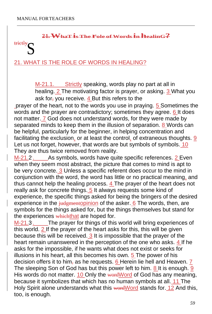#### **21.WhaTi<sup>s</sup> The role ofWordsi<sup>n</sup> healinG?**

# S trictly

## 21. WHAT IS THE ROLE OF WORDS IN HEALING?

M-21.1. Strictly speaking, words play no part at all in healing. 2 The motivating factor is prayer, or asking. 3 What you ask for, you receive. 4 But this refers to the

prayer of the heart, not to the words you use in praying. **5** Sometimes the words and the prayer are contradictory; sometimes they agree. 6 It does not matter. 7 God does not understand words, for they were made by separated minds to keep them in the illusion of separation. 8 Words can be helpful, particularly for the beginner, in helping concentration and facilitating the exclusion, or at least the control, of extraneous thoughts.  $9$ Let us not forget, however, that words are but symbols of symbols. 10 They are thus twice removed from reality.

M-21.2. As symbols, words have quite specific references. 2 Even when they seem most abstract, the picture that comes to mind is apt to be very concrete. 3 Unless a specific referent does occur to the mind in conjunction with the word, the word has little or no practical meaning, and thus cannot help the healing process. 4 The prayer of the heart does not really ask for concrete things. 5 It always requests some kind of experience, the specific things asked for being the bringers of the desired experience in the  $\frac{1}{10}$  interterty initial of the asker. 6 The words, then, are symbols for the things asked for, but the things themselves but stand for the experiences whichthat are hoped for.

M-21.3. The prayer for things of this world will bring experiences of this world. 2 If the prayer of the heart asks for this, this will be given because this will be received.  $3$  It is impossible that the prayer of the heart remain unanswered in the perception of the one who asks. 4 If he asks for the impossible, if he wants what does not exist or seeks for illusions in his heart, all this becomes his own. 5 The power of his decision offers it to him, as he requests. 6 Herein lie hell and Heaven. 7 The sleeping Son of God has but this power left to him. 8 It is enough. 9 His words do not matter. 10 Only the wordWord of God has any meaning, because it symbolizes that which has no human symbols at all. 11 The Holy Spirit alone understands what this wordWord stands for. 12 And this, too, is enough.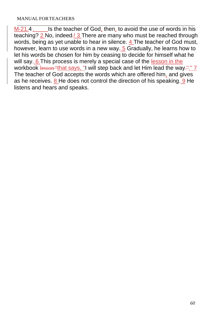M-21.4. Is the teacher of God, then, to avoid the use of words in his teaching? 2 No, indeed. 3 There are many who must be reached through words, being as yet unable to hear in silence. 4 The teacher of God must, however, learn to use words in a new way. 5 Gradually, he learns how to let his words be chosen for him by ceasing to decide for himself what he will say. 6 This process is merely a special case of the lesson in the workbook lesson "that says, "I will step back and let Him lead the way."." 7 The teacher of God accepts the words which are offered him, and gives as he receives. 8 He does not control the direction of his speaking. 9 He listens and hears and speaks.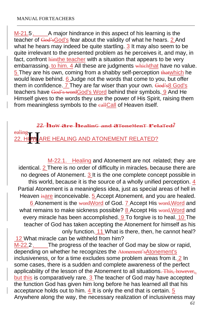M-21.5. A major hindrance in this aspect of his learning is the teacher of God'sGod's fear about the validity of what he hears. 2 And what he hears may indeed be quite startling.  $\frac{3}{3}$  It may also seem to be quite irrelevant to the presented problem as he perceives it, and may, in fact, confront himthe teacher with a situation that appears to be very embarrassing. to him. 4 All these are judgments which that have no value. 5 They are his own, coming from a shabby self-perception that which he would leave behind.  $6$  Judge not the words that come to you, but offer them in confidence.  $\overline{7}$  They are far wiser than your own.  $\overline{6}$ <sub>8</sub>8 God's teachers have God's wordGod's Word behind their symbols. 9 And He Himself gives to the words they use the power of His Spirit, raising them from meaningless symbols to the eallCall of Heaven itself.

#### $\frac{1}{2}$ *22.* **hoW are healinG and aToneMenT relaTed***?* ealing RE HEALING AND ATONEMENT RELATED?

M-22.1. Healing and Atonement are not -related; they -are identical. 2 There is no order of difficulty in miracles, because there are no degrees of Atonement. 3 It is the one complete concept possible in this world, because it is the source of a wholly unified perception. 4 Partial Atonement is a meaningless idea, just as special areas of hell in Heaven isare inconceivable. 5 Accept Atonement, and you are healed. 6 Atonement is the wordWord of God. 7 Accept His word, Word and what remains to make sickness possible? 8 Accept His word, Word and every miracle has been accomplished. 9 To forgive is to heal. 10 The teacher of God has taken accepting the Atonement for himself as his only function. 11 What is there, then, he cannot heal? 12 What miracle can be withheld from him? M-22.2. The progress of the teacher of God may be slow or rapid, depending on whether he recognizes the Atonement's Atonement's inclusiveness, or for a time excludes some problem areas from it. 2 In some cases, there is a sudden and complete awareness of the perfect applicability of the lesson of the Atonement to all situations. This, however, but this is comparatively rare. 3 The teacher of God may have accepted the function God has given him long before he has learned all that his acceptance holds out to him.  $4$  It is only the end that is certain.  $5$ Anywhere along the way, the necessary realization of inclusiveness may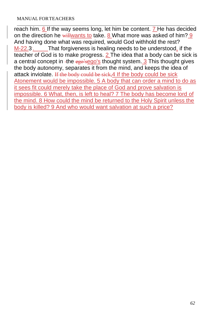reach him. 6 If the way seems long, let him be content. 7 He has decided on the direction he willwants to take. 8 What more was asked of him? 9 And having done what was required, would God withhold the rest? M-22.3. That forgiveness is healing needs to be understood, if the teacher of God is to make progress. 2 The idea that a body can be sick is a central concept in the ego's ego's thought system. 3 This thought gives the body autonomy, separates it from the mind, and keeps the idea of attack inviolate. If the body could be sick, 4 If the body could be sick Atonement would be impossible. 5 A body that can order a mind to do as it sees fit could merely take the place of God and prove salvation is impossible. 6 What, then, is left to heal? 7 The body has become lord of the mind. 8 How could the mind be returned to the Holy Spirit unless the body is killed? 9 And who would want salvation at such a price?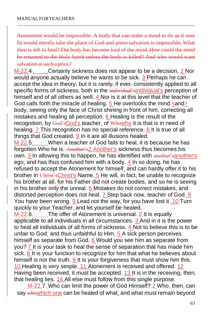Atonement would be impossible. A body that can order a mind to do as it sees fit would merely take the place of God and prove salvation is impossible.What then is left to heal?The body has become lord of the mind.How could the mind be returned to the Holy Spirit unless the body is killed? And who would want salvation at such a price?

M-22.4. Certainly sickness does not appear to be a decision. 2 Nor would anyone actually believe he wants to be sick. 3 Perhaps he can accept the idea in theory, but it is rarely, if ever, consistently applied to all specific forms of sickness, both in the individual's individual's perception of himself and of all others as well. 4 Nor is it at this level that the teacher of God calls forth the miracle of healing. 5 He overlooks the mind <and> body, seeing only the face of Christ shining in front of him, correcting all mistakes and healing all perception.  $6$  Healing is the result of the recognition, by God'sGod's teacher, of Whowho it is that is in need of healing. 7 This recognition has no special reference. 8 It is true of all things that God created. 9 In it are all illusions healed. M-22.5. When a teacher of God fails to heal, it is because he has forgotten Who he is. Another's2 Another's sickness thus becomes his own. 3 In allowing this to happen, he has identified with another's another's ego, and has thus confused him with a body.  $4 \ln$  so doing, he has refused to accept the Atonement for himself, and can hardly offer it to his brother in Christ's Christ's Name. 5 He will, in fact, be unable to recognize

his brother at all, for his Father did not create bodies, and so he is seeing in his brother only the unreal. 6 Mistakes do not correct mistakes, and distorted perception does not heal. 7 Step back now, teacher of God. 8 You have been wrong. 9 Lead not the way, for you have lost it. 10 Turn quickly to your Teacher, and let yourself be healed.

M-22.6. The offer of Atonement is universal. 2 It is equally applicable to all individuals in all circumstances. 3 And in it is the power to heal all individuals of all forms of sickness. 4 Not to believe this is to be unfair to God, and thus unfaithful to Him. 5 A sick person perceives himself as separate from God. 6 Would you see him as separate from you? 7 It is your task to heal the sense of separation that has made him sick.  $8$  It is your function to recognize for him that what he believes about himself is not the truth.  $9$  It is your forgiveness that must show him this. 10 Healing is very simple. 11 Atonement is received and offered. 12 Having been received, it must be accepted. 13 It is in the receiving, then, that healing lies. 14 All else must follow from this single purpose.

 $M-22.7$ . Who can limit the power of God Himself?  $2$  Who, then, can say whowhich one can be healed of what, and what must remain beyond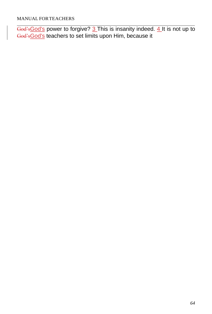MANUAL FORTEACHERS

God'sGod's power to forgive? 3 This is insanity indeed. 4 It is not up to God'sGod's teachers to set limits upon Him, because it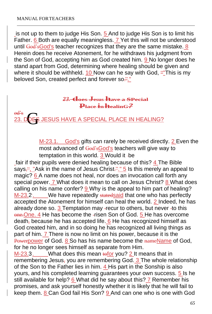od's

is not up to them to judge His Son. 5 And to judge His Son is to limit his Father. 6 Both are equally meaningless. 7 Yet this will not be understood until  $G<sub>od's</sub>God's teacher recognizes that they are the same mistake. 8$ Herein does he receive Atonement, for he withdraws his judgment from the Son of God, accepting him as God created him. 9 No longer does he stand apart from God, determining where healing should be given and where it should be withheld. 10 Now can he say with God,  $H$ This is my beloved Son, created perfect and forever so.<sup>22</sup>.

#### *23.* **does Jesus have <sup>a</sup>sPecial Place inhealinG***?*

OES 23. DOES JESUS HAVE A SPECIAL PLACE IN HEALING?

> M-23.1. God's gifts can rarely be received directly. 2 Even the most advanced of God'sGod's teachers will give way to temptation in this world. 3 Would it -be

fair if their pupils were denied healing because of this? 4 The Bible says, "<sup>"</sup> Ask in the name of Jesus Christ.".  $\frac{1}{2}$  Is this merely an appeal to magic? 6 A name does not heal, nor does an invocation call forth any special power. 7 What does it mean to call on Jesus Christ? 8 What does calling on his name confer? 9 Why is the appeal to him part of healing? M-23.2. We have repeatedly stated and that one who has perfectly accepted the Atonement for himself can heal the world. 2 Indeed, he has already done so. 3 Temptation may -recur to others, but never -to this one. One. 4 He has become the -risen Son of God. 5 He has overcome death, because he has accepted life. 6 He has recognized himself as God created him, and in so doing he has recognized all living things as part of him. 7 There is now no limit on his power, because it is the Powerpower of God. 8 So has his name become the nameName of God, for he no longer sees himself as separate from Him. M-23.3. What does this mean to for you? 2 It means that in remembering Jesus, you are remembering God.  $3$  The whole relationship of the Son to the Father lies in him.  $4$  His part in the Sonship is also

yours, and his completed learning guarantees your own success. 5 Is he still available for help?  $6$  What did he say about this? 7 Remember his promises, and ask yourself honestly whether it is likely that he will fail to keep them. 8 Can God fail His Son? 9 And can one who is one with God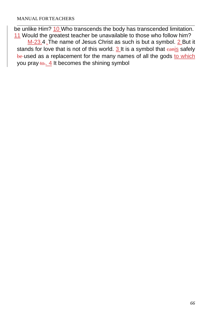MANUAL FORTEACHERS

be unlike Him? 10 Who transcends the body has transcended limitation. 11 Would the greatest teacher be unavailable to those who follow him? M-23.4. The name of Jesus Christ as such is but a symbol. 2 But it stands for love that is not of this world.  $3$  It is a symbol that  $\frac{canis}{canis}$  safely be used as a replacement for the many names of all the gods to which you pray  $t_{0.4}$  It becomes the shining symbol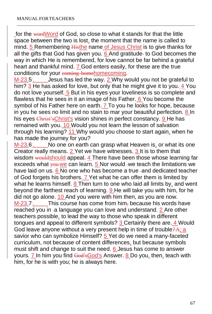for the wordWord of God, so close to what it stands for that the little space between the two is lost, the moment that the name is called to mind. 5 Remembering Histhe name of Jesus Christ is to give thanks for all the gifts that God has given you.  $6$  And gratitude- to God becomes the way in which He is remembered, for love cannot be far behind a grateful heart and thankful mind. 7 God enters easily, for these are the true conditions for your coming homehomecoming.

M-23.5. Jesus has led the way. 2 Why would you not be grateful to him? 3 He has asked for love, but only that he might give it to you. 4 You do not love yourself. 5 But in his eyes your loveliness is so complete and flawless that he sees in it an image of his Father.  $6$  You become the symbol of his Father here on earth. 7 To you he looks for hope, because in you he sees no limit and no stain to mar your beautiful perfection. 8 In his eyes Christ's Christ's vision shines in perfect constancy. 9 He has remained with you. 10 Would you not learn the lesson of salvation through his learning? 11 Why would you choose to start again, when he has made the journey for you?

M-23.6. No one on earth can grasp what Heaven is, or what its one Creator really means. 2 Yet we have witnesses. 3 It is to them that wisdom wouldshould appeal. 4 There have been those whose learning far exceeds what  $\frac{1}{2}$  we can learn.  $5$  Nor would -we teach the limitations we have laid on us.  $6$  No one who has become a true - and dedicated teacher of God forgets his brothers. 7 Yet what he can offer them is limited by what he learns himself. 8 Then turn to one who laid all limits by, and went beyond the farthest reach of learning. 9 He will take you with him, for he did not go alone. 10 And you were with him then, as you are now. M-23.7. This course has come from him, because his words have reached you in -a language you can love and understand. 2 Are other teachers possible, to lead the way to those who speak in different tongues and appeal to different symbols? 3 Certainly there are. 4 Would God leave anyone without a very present help in time of trouble? $A$ ; a savior who can symbolize Himself? 5 Yet do we need a many-faceted curriculum, not because of content differences, but because symbols must shift and change to suit the need. 6 Jesus has come to answer yours. 7 In him you find God'sGod's Answer. 8 Do you, then, teach with him, for he is with you; he is always here.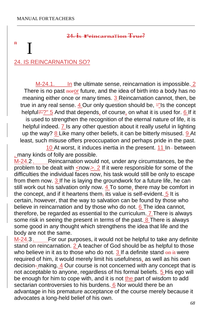$\mathbf H$ 

#### **24. i<sup>s</sup> reincarnaTionTrue?**

# I 24. IS REINCARNATION SO?

M-24.1. In the ultimate sense, reincarnation is impossible. 2 There is no past noror future, and the idea of birth into a body has no meaning either once or many times. 3 Reincarnation cannot, then, be true in any real sense.  $4$  Our only question should be,  $\frac{4}{3}$  is the concept helpful?"?" 5 And that depends, of course, on what it is used for.  $6$  If it is used to strengthen the recognition of the eternal nature of life, it is helpful indeed. 7 Is any other question about it really useful in lighting up the way?  $8$  Like many other beliefs, it can be bitterly misused.  $9$  At least, such misuse offers preoccupation and perhaps pride in the past.

10 At worst, it induces inertia in the present. 11 In– between , many kinds of folly are possible.

M-24.2. Reincarnation would not, under any circumstances, be the problem to be dealt with <now.>. 2 If it were responsible for some of the difficulties the individual faces now, his task would still be only to escape from them now. 3 If he is laying the groundwork for a future life, he can still work out his salvation only now. 4 To some, there may be comfort in the concept, and if it heartens them, its value is self-evident.  $5$  It is certain, however, that the way to salvation can be found by those who believe in reincarnation and by those who do not. 6 The idea cannot, therefore, be regarded as essential to the curriculum. 7 There is always some risk in seeing the present in terms of the past.  $8$  There is always some good in any thought which strengthens the idea that life and the body are not the same.

M-24.3. For our purposes, it would not be helpful to take any definite stand on reincarnation. 2 A teacher of God should be as helpful to those who believe in it as to those who do not. 3 If a definite stand  $\frac{a}{a}$  it were required of him, it would merely limit his usefulness, as well as his own decision- making. 4 Our course is not concerned with any concept that is not acceptable to anyone, regardless of his formal beliefs. 5 His ego will be enough for him to cope with, and it is not the part of wisdom to add sectarian controversies to his burdens. 6 Nor would there be an advantage in his premature acceptance of the course merely because it advocates a long-held belief of his own.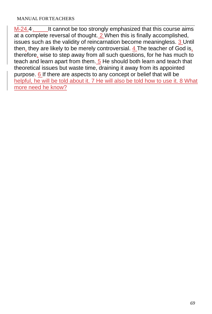M-24.4. It cannot be too strongly emphasized that this course aims at a complete reversal of thought. 2 When this is finally accomplished, issues such as the validity of reincarnation become meaningless. 3 Until then, they are likely to be merely controversial. 4 The teacher of God is, therefore, wise to step away from all such questions, for he has much to teach and learn apart from them. 5 He should both learn and teach that theoretical issues but waste time, draining it away from its appointed purpose. 6 If there are aspects to any concept or belief that will be helpful, he will be told about it. 7 He will also be told how to use it. 8 What more need he know?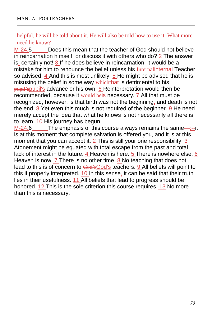#### helpful, he will be told about it. He will also be told how to use it. What more need he know?

M-24.5. Does this mean that the teacher of God should not believe in reincarnation himself, or discuss it with others who do? 2 The answer is, certainly not! 3 If he does believe in reincarnation, it would be a mistake for him to renounce the belief unless his Internalinternal Teacher so advised. 4 And this is most unlikely. 5 He might be advised that he is misusing the belief in some way whichthat is detrimental to his pupil'spupil's advance or his own. 6 Reinterpretation would then be recommended, because it would beis necessary. 7 All that must be recognized, however, is that birth was not the beginning, and death is not the end. 8 Yet even this much is not required of the beginner. 9 He need merely accept the idea that what he knows is not necessarily all there is to learn. 10 His journey has begun.

 $M-24.6$ . The emphasis of this course always remains the same- $\frac{1}{1}$ -it is at this moment that complete salvation is offered you, and it is at this moment that you can accept it.  $2$  This is still your one responsibility.  $3$ Atonement might be equated with total escape from the past and total lack of interest in the future. 4 Heaven is here. 5 There is nowhere else. 6 Heaven is now. 7 There is no other time. 8 No teaching that does not lead to this is of concern to God'sGod's teachers. 9 All beliefs will point to this if properly interpreted.  $10$  In this sense, it can be said that their truth lies in their usefulness. 11 All beliefs that lead to progress should be honored. 12 This is the sole criterion this course requires. 13 No more than this is necessary.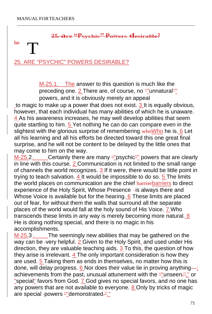#### **25. are "Psychic" PoWers desiraBle?**

#### he

T

## 25. ARE "PSYCHIC" POWERS DESIRABLE?

M-25.1. The answer to this question is much like the preceding one. 2 There are, of course, no "unnatural" powers, and it is obviously merely an appeal

to magic to make up a power that does not exist. 3 It is equally obvious, however, that each individual has many abilities of which he is unaware. 4 As his awareness increases, he may well develop abilities that seem quite startling to him. 5 Yet nothing he can do can compare even in the slightest with the glorious surprise of remembering whoWho he is. 6 Let all his learning and all his efforts be directed toward this one great final surprise, and he will not be content to be delayed by the little ones that may come to him on the way.

M-25.2. Certainly there are many "psychic" powers that are clearly in line with this course. 2 Communication is not limited to the small range of channels the world recognizes.  $3$  If it were, there would be little point in trying to teach salvation.  $4$  It would be impossible to do so. 5 The limits the world places on communication are the chief barrierbarriers to direct experience of the Holy Spirit, Whose Presence - is always there and Whose Voice is available but for the hearing. 6 These limits are placed out of fear, for without them the walls that surround all the separate places of the world would fall at the holy sound of His Voice. 7 Who transcends these limits in any way is merely becoming more natural. 8 He is doing nothing special, and there is no magic in his accomplishments.

M-25.3. The seemingly new abilities that may be gathered on the way can be -very helpful. 2 Given to the Holy Spirit, and used under His direction, they are valuable teaching aids. 3 To this, the question of how they arise is irrelevant. 4 The only important consideration is how they are used. 5 Taking them as ends in themselves, no matter how this is done, will delay progress.  $6$  Nor does their value lie in proving anything—; achievements from the past, unusual attunement with the  $\frac{100}{10}$ unseen $\frac{30}{10}$  or "special" favors from God. 7 God gives no special favors, and no one has any powers that are not available to everyone. 8 Only by tricks of magic are special -powers "demonstrated."."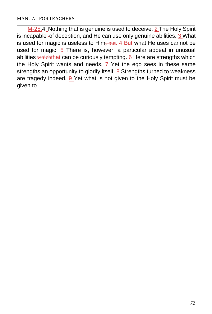#### MANUAL FORTEACHERS

M-25.4 .Nothing that is genuine is used to deceive. 2 The Holy Spirit is incapable -of deception, and He can use only genuine abilities. 3 What is used for magic is useless to Him, but. 4 But what He uses cannot be used for magic. 5 There is, however, a particular appeal in unusual abilities whichthat can be curiously tempting. 6 Here are strengths which the Holy Spirit wants and needs. 7 Yet the ego sees in these same strengths an opportunity to glorify itself. 8 Strengths turned to weakness are tragedy indeed. 9 Yet what is not given to the Holy Spirit must be given to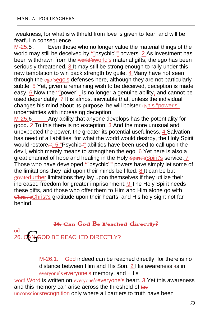weakness, for what is withheld from love is given to fear, and will be fearful in consequence.

M-25.5. Even those who no longer value the material things of the world may still be deceived by  $H_{\text{p}}$  psychic<sup>21</sup> powers. 2 As investment has been withdrawn from the world'sworld's material gifts, the ego has been seriously threatened. 3 It may still be strong enough to rally under this new temptation to win back strength by guile. 4 Many have not seen through the ego'sego's defenses here, although they are not particularly subtle. 5 Yet, given a remaining wish to be deceived, deception is made easy. 6 Now the ""power" is no longer a genuine ability, and cannot be used dependably. 7 It is almost inevitable that, unless the individual changes his mind about its purpose, he will bolster itshis "power's" uncertainties with increasing deception.

M-25.6. Any ability that anyone develops has the potentiality for good. 2 To this there is no exception. 3 And the more unusual and unexpected the power, the greater its potential usefulness. 4 Salvation has need of all abilities, for what the world would destroy, the Holy Spirit would restore.". 5 "Psychic<sup>2"</sup> abilities have been used to call upon the devil, which merely means to strengthen the ego. 6 Yet here is also a great channel of hope and healing in the Holy Spirit's Spirit's service. 7 Those who have developed "psychic"" powers have simply let some of the limitations they laid upon their minds be lifted. 8 It can be but greaterfurther limitations they lay upon themselves if they utilize their increased freedom for greater imprisonment. 9 The Holy Spirit needs these gifts, and those who offer them to Him and Him alone go with Christ'sChrist's gratitude upon their hearts, and His holy sight not far behind.

**26. can <sup>G</sup>od <sup>B</sup><sup>e</sup> reached direcTly?**

ANT od 26. CAN GOD BE REACHED DIRECTLY?

> M-26.1. God indeed can be reached directly, for there is no distance between Him and His Son. 2 His awareness is in everyone's everyone's memory, and -His

word Word is written on everyone's everyone's heart. 3 Yet this awareness and this memory can arise across the threshold of the unconscious recognition only where all barriers to truth have been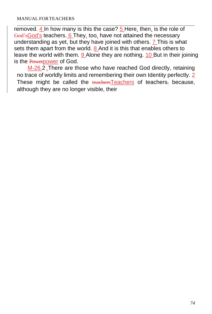removed.  $\frac{4}{3}$  In how many is this the case?  $\frac{5}{3}$  Here, then, is the role of God'sGod's teachers. 6 They, too, have not attained the necessary understanding as yet, but they have joined with others. 7 This is what sets them apart from the world. 8 And it is this that enables others to leave the world with them. 9 Alone they are nothing. 10 But in their joining is the Powerpower of God.

M-26.2<sup>-</sup> There are those who have reached God directly, retaining no trace of worldly limits and remembering their own Identity perfectly. 2 These might be called the teachersTeachers of teachers, because, although they are no longer visible, their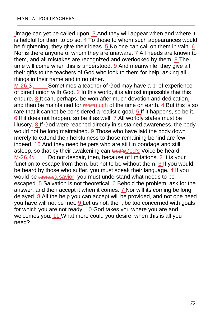image can yet be called upon. 3 And they will appear when and where it is helpful for them to do so. 4 To those to whom such appearances would be frightening, they give their ideas. 5 No one can call on them in vain. 6 Nor is there anyone of whom they are unaware. 7 All needs are known to them, and all mistakes are recognized and overlooked by them.  $8$  The time will come when this is understood. 9 And meanwhile, they give all their gifts to the teachers of God who look to them for help, asking all things in their name and in no other.

M-26.3. Sometimes a teacher of God may have a brief experience of direct union with God. 2 In this world, it is almost impossible that this endure. 3 It can, perhaps, be won after much devotion and dedication, and then be maintained for most much of the time on earth. 4 But this is so rare that it cannot be considered a realistic goal. 5 If it happens, so be it. 6 If it does not happen, so be it as well. 7 All worldly states must be illusory. 8 If God were reached directly in sustained awareness, the body would not be long maintained. 9 Those who have laid the body down merely to extend their helpfulness to those remaining behind are few indeed. 10 And they need helpers who are still in bondage and still asleep, so that by their awakening can God'sGod's Voice be heard. M-26.4. Do not despair, then, because of limitations. 2 It is your function to escape from them, but not to be without them. 3 If you would be heard by those who suffer, you must speak their language. 4 If you would be saviorsa savior, you must understand what needs to be escaped. 5 Salvation is not theoretical. 6 Behold the problem, ask for the answer, and then accept it when it comes. 7 Nor will its coming be long delayed. 8 All the help you can accept will be provided, and not one need you have will not be met. 9 Let us not, then, be too concerned with goals for which you are not ready. 10 God takes you where you are and welcomes you. 11 What more could you desire, when this is all you need?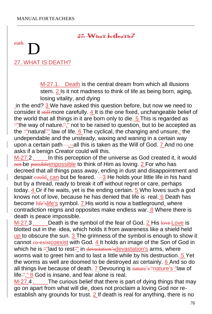## *27.* **WhaT isdeaTh***?*

## D eath 27. WHAT IS DEATH?

M-27.1. Death is the central dream from which all illusions stem. 2 Is it not madness to think of life as being born, aging, losing vitality, and dying

in the end? 3 We have asked this question before, but now we need to consider it still more carefully. 4 It is the one fixed, unchangeable belief of the world that all things in it are born only to die. 5 This is regarded as " the way of nature," not to be raised to question, but to be accepted as the "natural" law of life. 6 The cyclical, the changing and unsure<sub>i</sub>; the undependable and the unsteady, waxing and waning in a certain way upon a certain path—,--all this is taken as the Will of God. 7 And no one asks if a benign Creator could will this.

M-27.2. In this perception of the universe as God created it, it would not be possibleimpossible to think of Him as loving. 2 For who has decreed that all things pass away, ending in dust and disappointment and despair could, can but be feared.  $-3$  He holds your little life in his hand but by a thread, ready to break it off without regret or care, perhaps today. 4 Or if he waits, yet is the ending certain. 5 Who loves such a god knows not of love, because he has denied that life is -real. 6 Death has become life'slife's symbol. 7 His world is now a battleground, where contradiction reigns and opposites make endless war. 8 Where there is death is peace impossible.

 $M-27.3$ . Death is the symbol of the fear of God. 2 His love Love is blotted out in the idea, which holds it from awareness like a shield held up to obscure the sun. 3 The grimness of the symbol is enough to show it cannot co-existcoexist with God. 4 It holds an image of the Son of God in which he is "laid to rest<sup>2"</sup> in devastation's devastation's arms, where worms wait to greet him and to last a little while by his destruction. 5 Yet the worms as well are doomed to be destroyed as certainly. 6 And so do all things live because of death. 7 Devouring is nature's "nature's "law of life.".  $8$  God is insane, and fear alone is real.

M-27.4. The curious belief that there is part of dying things that may go on apart from what will die, does not proclaim a loving God nor reestablish any grounds for trust. 2 If death is real for anything, there is no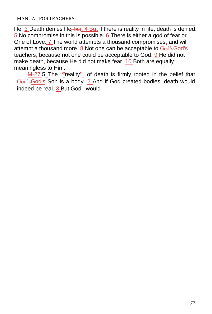life. 3 Death denies life, but. 4 But if there is reality in life, death is denied. 5 No compromise in this is possible. 6 There is either a god of fear or One of Love. 7 The world attempts a thousand compromises, and will attempt a thousand more. 8 Not one can be acceptable to God'sGod's teachers, because not one could be acceptable to God. 9 He did not make death, because He did not make fear. 10 Both are equally meaningless to Him.

M-27.5. The "reality" of death is firmly rooted in the belief that God'sGod's Son is a body. 2 And if God created bodies, death would indeed be real. 3 But God -would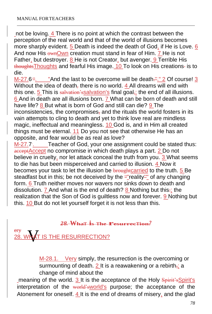not be loving. 4 There is no point at which the contrast between the perception of the real world and that of the world of illusions becomes more sharply evident. 5 Death is indeed the death of God, if He is Love. 6 And now His **ownOwn** creation must stand in fear of Him. 7 He is not Father, but destroyer.  $8$  He is not Creator, but avenger.  $9$  Terrible His thoughtsThoughts and fearful His image. 10 To look on His creations- is to die.

 $M-27.6<sup>4</sup>$ . "And the last to be overcome will be death."." 2 Of course! 3 Without the idea of death, there is no world. 4 All dreams will end with this one. 5 This is salvation's salvation's final goal, the end of all illusions. 6 And in death are all illusions born. 7 What can be born of death and still have life? 8 But what is born of God and still can die? 9 The inconsistencies, the compromises, and the rituals the world fosters in its vain attempts to cling to death and yet to think love real are mindless magic, ineffectual and meaningless. 10 God is, and in Him all created things must be eternal. 11 Do you not see that otherwise He has an opposite, and fear would be as real as love?

M-27.7. Teacher of God, your one assignment could be stated thus: acceptAccept no compromise in which death plays a part. 2 Do not believe in cruelty, nor let attack conceal the truth from you. 3 What seems to die has but been misperceived and carried to illusion. 4 Now it becomes your task to let the illusion be broughtcarried to the truth. 5 Be steadfast but in this; be not deceived by the  $\frac{d}{dx}$  reality<sup>2"</sup> of any changing form. 6 Truth neither moves nor wavers nor sinks down to death and dissolution. 7 And what is the end of death? 8 Nothing but this:; the realization that the Son of God is guiltless now and forever. 9 Nothing but this. 10 But do not let yourself forget it is not less than this.

#### *28.* **<sup>W</sup>haT i<sup>s</sup> The resurrecTion***?*

#### **INAT** ery 28. WHAT IS THE RESURRECTION?

M-28.1. Very simply, the resurrection is the overcoming or surmounting of death.  $2$  It is a reawakening or a rebirth,; a change of mind about the

meaning of the world. 3 It is the acceptance of the Holy Spirit's Spirit's interpretation of the world's world's purpose; the acceptance of the Atonement for oneself.  $4$  It is the end of dreams of misery, and the glad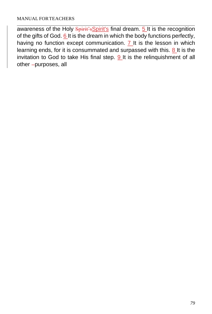awareness of the Holy Spirit's Spirit's final dream. 5 It is the recognition of the gifts of God.  $6$  It is the dream in which the body functions perfectly, having no function except communication. 7 It is the lesson in which learning ends, for it is consummated and surpassed with this. 8 It is the invitation to God to take His final step. 9 It is the relinquishment of all other -purposes, all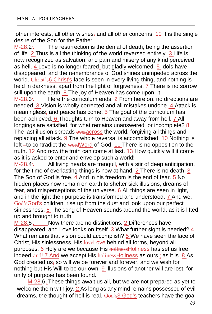other interests, all other wishes, and all other concerns. 10 It is the single desire of the Son for the Father.

M-28.2. The resurrection is the denial of death, being the assertion of life. 2 Thus is all the thinking of the world reversed entirely. 3 Life is now recognized as salvation, and pain and misery of any kind perceived as hell. 4 Love is no longer feared, but gladly welcomed. 5 Idols have disappeared, and the remembrance of God shines unimpeded across the world. Christ's6 Christ's face is seen in every living thing, and nothing is held in darkness, apart from the light of forgiveness. 7 There is no sorrow still upon the earth.  $8$  The joy of Heaven has come upon  $-it$ .

M-28.3. Here the curriculum ends. 2 From here on, no directions are needed. 3 Vision is wholly corrected and all mistakes undone. 4 Attack is meaningless, and peace has come. 5 The goal of the curriculum has been achieved. 6 Thoughts turn to Heaven and away from hell. 7 All longings are satisfied, for what remains unanswered -or incomplete? 8 The last illusion spreads overacross the world, forgiving all things and replacing all attack. 9 The whole reversal is accomplished. 10 Nothing is left -to contradict the wordWord of God. 11 There is no opposition to the truth. 12 And now the truth can come at last. 13 How quickly will it come as it is asked to enter and envelop such a world!

M-28.4. All living hearts are tranquil, with a stir of deep anticipation, for the time of everlasting things is now at hand. 2 There is no death. 3 The Son of God is free. 4 And in his freedom is the end of fear. 5 No hidden places now remain on earth to shelter sick illusions, dreams of fear<sub>z</sub> and misperceptions of the universe. 6 All things are seen in light, and in the light their purpose is transformed and understood. 7 And we, God'sGod's children, rise up from the dust and look upon our perfect sinlessness.  $8$  The song of Heaven sounds around the world, as it is lifted up and brought to truth.

M-28.5. Now there are no distinctions. 2 Differences have  $\overline{disapped}$ , and Love looks on Itself.  $\underline{3}$  What further sight is needed?  $\underline{4}$ What remains that vision could accomplish?  $5$  We have seen the face of Christ, His sinlessness, His loveLove behind all forms, beyond all purposes. 6 Holy are we because His holinessHoliness has set us free indeed, and! 7 And we accept His holinessHoliness as ours,; as it is. 8 As God created us, so will we be forever and forever, and we wish for nothing but His Will to be our own. 9 Illusions of another will are lost, for unity of purpose has been found.

M-28.6. These things await us all, but we are not prepared as yet to welcome them with joy. 2 As long as any mind remains possessed of evil dreams, the thought of hell is real. God's3 God's teachers have the goal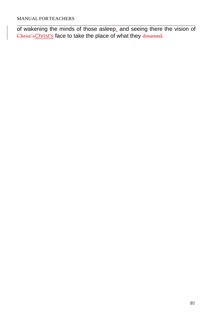MANUAL FORTEACHERS

of wakening the minds of those asleep, and seeing there the vision of Christ'sChrist's face to take the place of what they dreamed.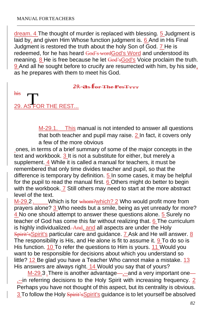dream. 4 The thought of murder is replaced with blessing. 5 Judgment is laid by, and given Him Whose function judgment is. 6 And in His Final Judgment is restored the truth about the holy Son of God. 7 He is redeemed, for he has heard God's wordGod's Word and understood its meaning. 8 He is free because he let God's God's Voice proclaim the truth. 9 And all he sought before to crucify are resurrected with him, by his side, as he prepares with them to meet his God.

*29.* **asforThe resT***…*

his<br>29. AS FOR THE REST...

his

M-29.1. This manual is not intended to answer all questions that both teacher and pupil may raise.  $2 \ln$  fact, it covers only a few of the more obvious

ones, in terms of a brief summary of some of the major concepts in the text and workbook. 3 It is not a substitute for either, but merely a supplement. 4 While it is called a manual for teachers, it must be remembered that only time divides teacher and pupil, so that the difference is temporary by definition. 5 In some cases, it may be helpful for the pupil to read the manual first. 6 Others might do better to begin with the workbook. 7 Still others may need to start at the more abstract level of the text.

M-29.2. Which is for whom?which? 2 Who would profit more from prayers alone? 3 Who needs but a smile, being as yet unready for more? 4 No one should attempt to answer these questions alone. 5 Surely no teacher of God has come this far without realizing that. 6 The curriculum is highly individualized. And, and all aspects are under the Holy Spirit'sSpirit's particular care and guidance. 7 Ask and He will answer. 8 The responsibility is His, and He alone is fit to assume it. 9 To do so is His function. 10 To refer the questions to Him is yours. 11 Would you want to be responsible for decisions about which you understand so little? 12 Be glad you have a Teacher Who cannot make a mistake. 13 His answers are always right. 14 Would you say that of yours?

M-29.3. There is another advantage—,--and a very important one— ,--in referring decisions to the Holy Spirit with increasing frequency. 2 Perhaps you have not thought of this aspect, but its centrality is obvious. 3 To follow the Holy Spirit's Spirit's guidance is to let yourself be absolved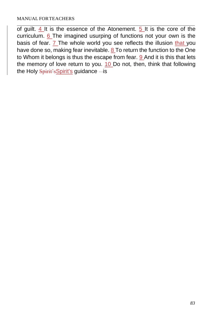of guilt.  $4$  It is the essence of the Atonement.  $5$  It is the core of the curriculum. 6 The imagined usurping of functions not your own is the basis of fear. 7 The whole world you see reflects the illusion that you have done so, making fear inevitable.  $8\text{ T}$ o return the function to the One to Whom it belongs is thus the escape from fear.  $9$  And it is this that lets the memory of love return to you. 10 Do not, then, think that following the Holy Spirit's Spirit's guidance - is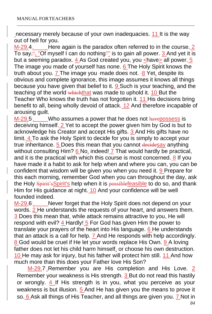necessary merely because of your own inadequacies. 11 It is the way out of hell for you.

M-29.4. Here again is the paradox often referred to in the course. 2 To say,  $\frac{a}{b}$  of myself I can do nothing  $\frac{a}{c}$  is to gain all power. 3 And yet it is but a seeming paradox. 4 As God created you, you  $\leq$  have all power. 5 The image you made of yourself has none.  $6$  The Holy Spirit knows the truth about you.  $\frac{7}{7}$  The image you -made does not.  $\frac{8}{7}$  Yet, despite its obvious and complete ignorance, this image assumes it knows all things because you have given that belief to it. 9 Such is your teaching, and the teaching of the world whichthat was made to uphold it. 10 But the Teacher Who knows the truth has not forgotten it. 11 His decisions bring benefit to all, being wholly devoid of attack. 12 And therefore incapable of arousing guilt.

M-29.5. Who assumes a power that he does not have possess is deceiving himself. 2 Yet to accept the power given him by God is but to acknowledge his Creator and accept His gifts. 3 And His gifts have no limit. 4 To ask the Holy Spirit to decide for you is simply to accept your true inheritance. 5 Does this mean that you cannot decidesay anything without consulting Him?  $\underline{6}$  No, indeed!  $\underline{7}$  That would hardly be practical, and it is the practical with which this course is most concerned.  $8$  If you have made it a habit to ask for help when and where you can, you can be confident that wisdom will be given you when you need it. 9 Prepare for this each morning, remember God when you can throughout the day, ask the Holy Spirit's Spirit's help when it is possiblefeasible to do so, and thank Him for His guidance at night. 10 And your confidence will be well founded indeed.

M-29.6. Never forget that the Holy Spirit does not depend on your words. 2 He understands the requests of your heart, and answers them. 3 Does this mean that, while attack remains attractive to you, He will respond with evil?  $4$  Hardly!  $5$  For God has given Him the power to translate your prayers of the heart into His language. 6 He understands that an attack is a call for help. 7 And He responds with help accordingly. 8 God would be cruel if He let your words replace His Own. 9 A loving father does not let his child harm himself, or choose his own destruction. 10 He may ask for injury, but his father will protect him still. 11 And how much more than this does your Father love His Son?

M-29.7 .Remember you are His completion and His Love. 2 Remember your weakness is His strength. 3 But do not read this hastily or wrongly. 4 If His strength is in you, what you perceive as your weakness is but illusion. 5 And He has given you the means to prove it so. 6 Ask all things of His Teacher, and all things are given you. 7 Not in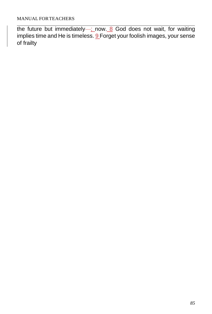MANUAL FORTEACHERS

the future but immediately—; now. 8 God does not wait, for waiting implies time and He is timeless. **9** Forget your foolish images, your sense of frailty